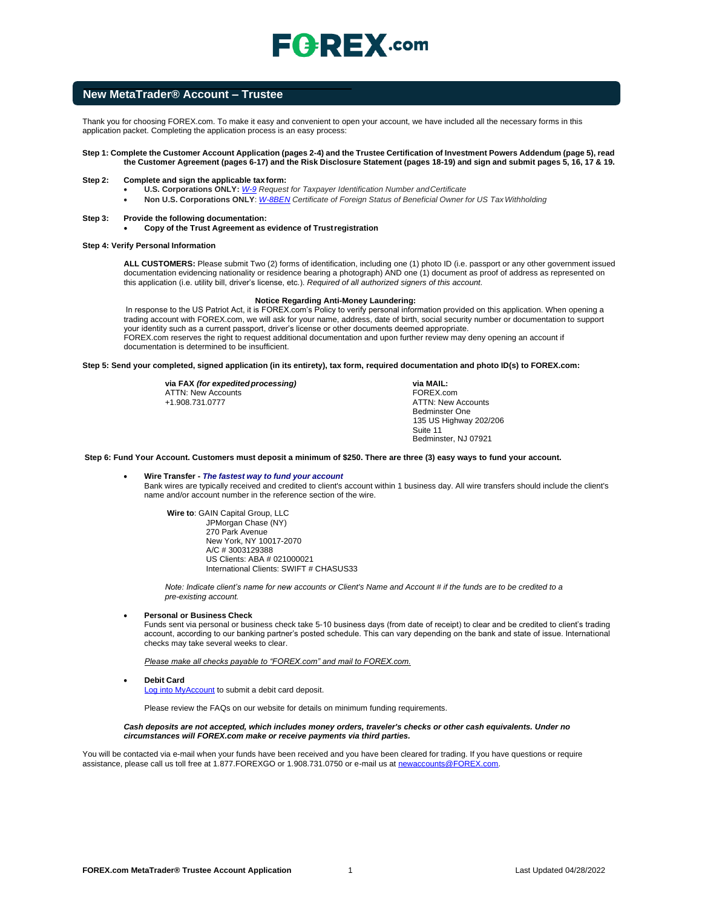# $\mathsf{F}$   $\mathsf{R}$   $\mathsf{R}$   $\mathsf{E}$   $\mathsf{X}$  .com

### **New MetaTrader® Account – Trustee**

Thank you for choosing FOREX.com. To make it easy and convenient to open your account, we have included all the necessary forms in this application packet. Completing the application process is an easy process:

#### **Step 1: Complete the Customer Account Application (pages 2-4) and the Trustee Certification of Investment Powers Addendum (page 5), read the Customer Agreement (pages 6-17) and the Risk Disclosure Statement (pages 18-19) and sign and submit pages 5, 16, 17 & 19.**

#### **Step 2: Complete and sign the applicable tax form:**

- **U.S. Corporations ONLY:** *[W-9](https://www.irs.gov/pub/irs-pdf/fw9.pdf) Request for Taxpayer Identification Number andCertificate*
- **Non U.S. Corporations ONLY**: *[W-8BEN](https://www.irs.gov/pub/irs-pdf/fw8ben.pdf) Certificate of Foreign Status of Beneficial Owner for US TaxWithholding*

#### **Step 3: Provide the following documentation:**

• **Copy of the Trust Agreement as evidence of Trustregistration** 

#### **Step 4: Verify Personal Information**

**ALL CUSTOMERS:** Please submit Two (2) forms of identification, including one (1) photo ID (i.e. passport or any other government issued documentation evidencing nationality or residence bearing a photograph) AND one (1) document as proof of address as represented on this application (i.e. utility bill, driver's license, etc.). *Required of all authorized signers of this account.*

#### **Notice Regarding Anti-Money Laundering:**

In response to the US Patriot Act, it is FOREX.com's Policy to verify personal information provided on this application. When opening a trading account with FOREX.com, we will ask for your name, address, date of birth, social security number or documentation to support your identity such as a current passport, driver's license or other documents deemed appropriate. FOREX.com reserves the right to request additional documentation and upon further review may deny opening an account if documentation is determined to be insufficient.

**Step 5: Send your completed, signed application (in its entirety), tax form, required documentation and photo ID(s) to FOREX.com:**

**via FAX** *(for expedited processing)* ATTN: New Accounts +1.908.731.0777

**via MAIL:** FOREX.com ATTN: New Accounts Bedminster One 135 US Highway 202/206 Suite 11 Bedminster, NJ 07921

# **Step 6: Fund Your Account. Customers must deposit a minimum of \$250. There are three (3) easy ways to fund your account.**

#### • **Wire Transfer -** *The fastest way to fund your account*

Bank wires are typically received and credited to client's account within 1 business day. All wire transfers should include the client's name and/or account number in the reference section of the wire.

**Wire to**: GAIN Capital Group, LLC JPMorgan Chase (NY) 270 Park Avenue New York, NY 10017-2070 A/C # 3003129388 US Clients: ABA # 021000021 International Clients: SWIFT # CHASUS33

*Note: Indicate client's name for new accounts or Client's Name and Account # if the funds are to be credited to a pre-existing account.*

#### • **Personal or Business Check**

Funds sent via personal or business check take 5-10 business days (from date of receipt) to clear and be credited to client's trading account, according to our banking partner's posted schedule. This can vary depending on the bank and state of issue. International checks may take several weeks to clear.

*Please make all checks payable to "FOREX.com" and mail to FOREX.com.*

#### • **Debit Card**

[Log into MyAccount](http://www.forex.com/myaccount.html) to submit a debit card deposit.

Please review the FAQs on our website for details on minimum funding requirements.

#### *Cash deposits are not accepted, which includes money orders, traveler's checks or other cash equivalents. Under no circumstances will FOREX.com make or receive payments via third parties.*

You will be contacted via e-mail when your funds have been received and you have been cleared for trading. If you have questions or require assistance, please call us toll free at 1.877.FOREXGO or 1.908.731.0750 or e-mail us a[t newaccounts@FOREX.com.](mailto:info@fxadvantage.com)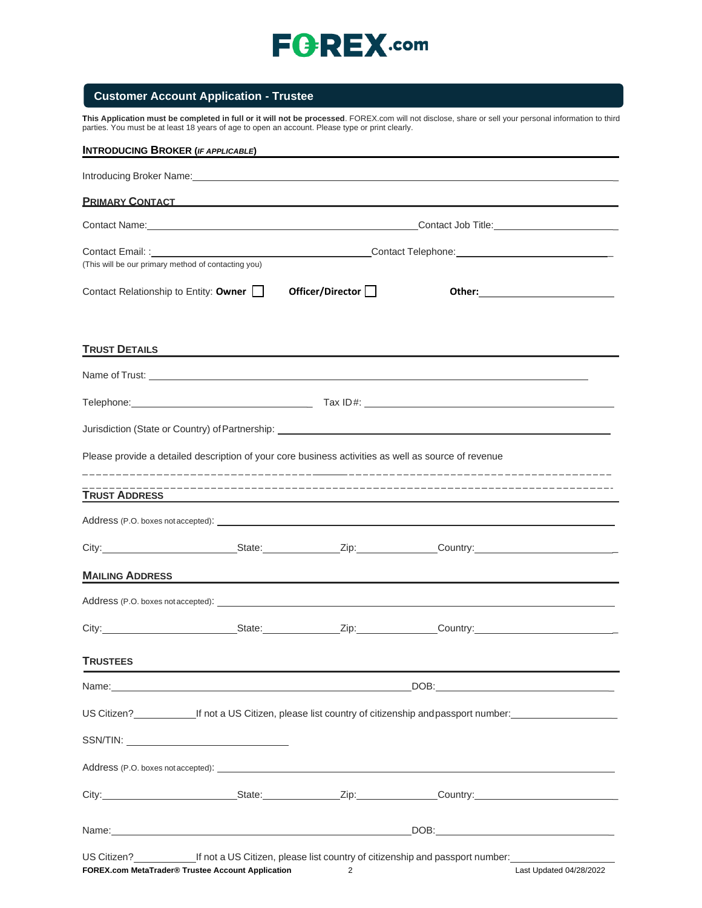

# **Customer Account Application - Trustee**

**This Application must be completed in full or it will not be processed**. FOREX.com will not disclose, share or sell your personal information to third parties. You must be at least 18 years of age to open an account. Please type or print clearly.

| <b>INTRODUCING BROKER (IF APPLICABLE)</b>           |                                                                                                                       |                                                                        |                                                                                                                                                                                                                                      |  |  |
|-----------------------------------------------------|-----------------------------------------------------------------------------------------------------------------------|------------------------------------------------------------------------|--------------------------------------------------------------------------------------------------------------------------------------------------------------------------------------------------------------------------------------|--|--|
|                                                     |                                                                                                                       |                                                                        |                                                                                                                                                                                                                                      |  |  |
|                                                     | <b>PRIMARY CONTACT CONTRACT CONTRACT CONTRACT CONTRACT CONTRACT CONTRACT CONTRACT CONTROL</b>                         |                                                                        |                                                                                                                                                                                                                                      |  |  |
|                                                     |                                                                                                                       | Contact Name: Contact Job Title: Contact Job Title: Contact Job Title: |                                                                                                                                                                                                                                      |  |  |
| (This will be our primary method of contacting you) |                                                                                                                       |                                                                        |                                                                                                                                                                                                                                      |  |  |
| Contact Relationship to Entity: Owner               |                                                                                                                       | Officer/Director <sup>[1]</sup>                                        |                                                                                                                                                                                                                                      |  |  |
| <b>TRUST DETAILS</b>                                | <u> 1989 - Johann John Stone, markin sammen beskriver og det blev forskellige og det blev forskellige og det blev</u> |                                                                        |                                                                                                                                                                                                                                      |  |  |
|                                                     |                                                                                                                       |                                                                        | Name of Trust: <u>example and the second contract of the second contract of the second contract of the second contract of the second contract of the second contract of the second contract of the second contract of the second</u> |  |  |
|                                                     |                                                                                                                       |                                                                        |                                                                                                                                                                                                                                      |  |  |
|                                                     |                                                                                                                       |                                                                        |                                                                                                                                                                                                                                      |  |  |
|                                                     | Please provide a detailed description of your core business activities as well as source of revenue                   |                                                                        |                                                                                                                                                                                                                                      |  |  |
| <b>TRUST ADDRESS</b>                                |                                                                                                                       |                                                                        |                                                                                                                                                                                                                                      |  |  |
|                                                     |                                                                                                                       |                                                                        |                                                                                                                                                                                                                                      |  |  |
|                                                     |                                                                                                                       |                                                                        |                                                                                                                                                                                                                                      |  |  |
| <b>MAILING ADDRESS</b>                              |                                                                                                                       |                                                                        |                                                                                                                                                                                                                                      |  |  |
|                                                     |                                                                                                                       |                                                                        |                                                                                                                                                                                                                                      |  |  |
|                                                     |                                                                                                                       |                                                                        | City: City: City: City: Country:                                                                                                                                                                                                     |  |  |
| <b>TRUSTEES</b>                                     |                                                                                                                       |                                                                        |                                                                                                                                                                                                                                      |  |  |
|                                                     |                                                                                                                       |                                                                        |                                                                                                                                                                                                                                      |  |  |
|                                                     |                                                                                                                       |                                                                        | US Citizen? <b>Many 19 Citizen</b> If not a US Citizen, please list country of citizenship and passport number:                                                                                                                      |  |  |
|                                                     |                                                                                                                       |                                                                        |                                                                                                                                                                                                                                      |  |  |
|                                                     |                                                                                                                       |                                                                        |                                                                                                                                                                                                                                      |  |  |
|                                                     |                                                                                                                       |                                                                        | City: City: City: City: Culture Country: Country: Country: Country: Country: Country: Country: Country: Country: Country: Country: Country: Country: Country: Country: Country: Country: Country: Country: Country: Country: C       |  |  |
|                                                     |                                                                                                                       |                                                                        |                                                                                                                                                                                                                                      |  |  |
|                                                     |                                                                                                                       |                                                                        | US Citizen?<br>Let not a US Citizen, please list country of citizenship and passport number:                                                                                                                                         |  |  |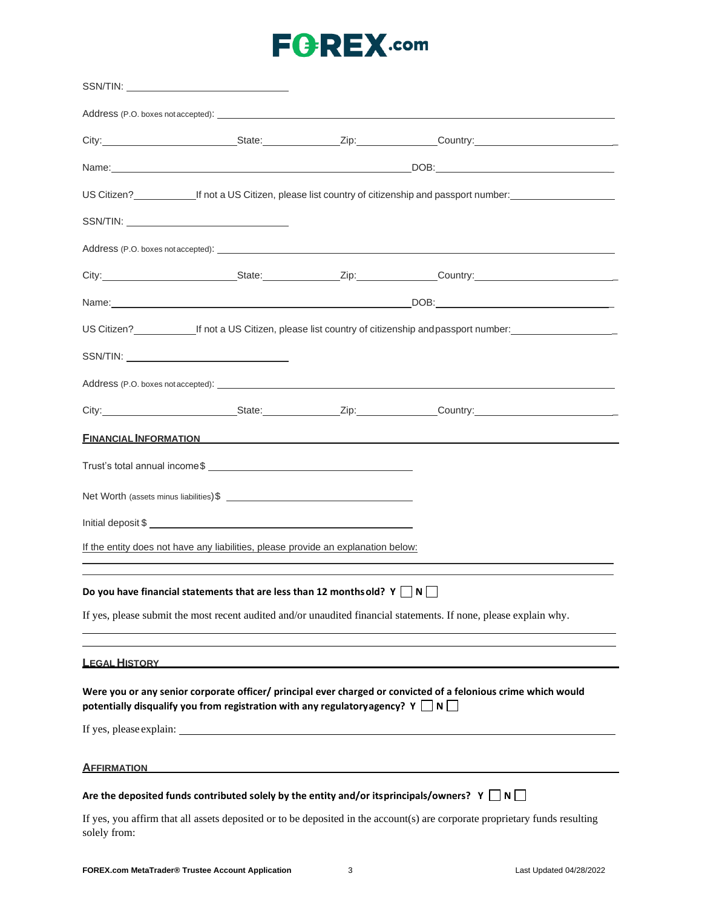|                      | SSN/TIN:                                                                                         |                                                                                                                                                       |
|----------------------|--------------------------------------------------------------------------------------------------|-------------------------------------------------------------------------------------------------------------------------------------------------------|
|                      |                                                                                                  |                                                                                                                                                       |
|                      |                                                                                                  |                                                                                                                                                       |
|                      |                                                                                                  |                                                                                                                                                       |
|                      |                                                                                                  | US Citizen?<br>If not a US Citizen, please list country of citizenship and passport number:<br>Current management of citizenship and passport number: |
|                      |                                                                                                  |                                                                                                                                                       |
|                      |                                                                                                  |                                                                                                                                                       |
|                      |                                                                                                  | City: City: City: City: City: Current Country: Country: Country:                                                                                      |
|                      |                                                                                                  |                                                                                                                                                       |
|                      |                                                                                                  | US Citizen?<br>Let not a US Citizen, please list country of citizenship and passport number:                                                          |
|                      |                                                                                                  |                                                                                                                                                       |
|                      |                                                                                                  |                                                                                                                                                       |
|                      |                                                                                                  |                                                                                                                                                       |
|                      |                                                                                                  | <b>FINANCIAL INFORMATION</b>                                                                                                                          |
|                      |                                                                                                  |                                                                                                                                                       |
|                      |                                                                                                  |                                                                                                                                                       |
|                      |                                                                                                  |                                                                                                                                                       |
|                      | If the entity does not have any liabilities, please provide an explanation below:                |                                                                                                                                                       |
|                      |                                                                                                  |                                                                                                                                                       |
|                      | Do you have financial statements that are less than 12 months old? $Y \cap N$                    |                                                                                                                                                       |
|                      |                                                                                                  | If yes, please submit the most recent audited and/or unaudited financial statements. If none, please explain why.                                     |
|                      |                                                                                                  |                                                                                                                                                       |
| <b>LEGAL HISTORY</b> |                                                                                                  |                                                                                                                                                       |
|                      | potentially disqualify you from registration with any regulatory agency? $Y \cap N$              | Were you or any senior corporate officer/ principal ever charged or convicted of a felonious crime which would                                        |
|                      | If yes, please explain:                                                                          |                                                                                                                                                       |
| <b>AFFIRMATION</b>   |                                                                                                  |                                                                                                                                                       |
|                      | Are the deposited funds contributed solely by the entity and/or itsprincipals/owners? $Y \cap N$ |                                                                                                                                                       |
| solely from:         |                                                                                                  | If yes, you affirm that all assets deposited or to be deposited in the account(s) are corporate proprietary funds resulting                           |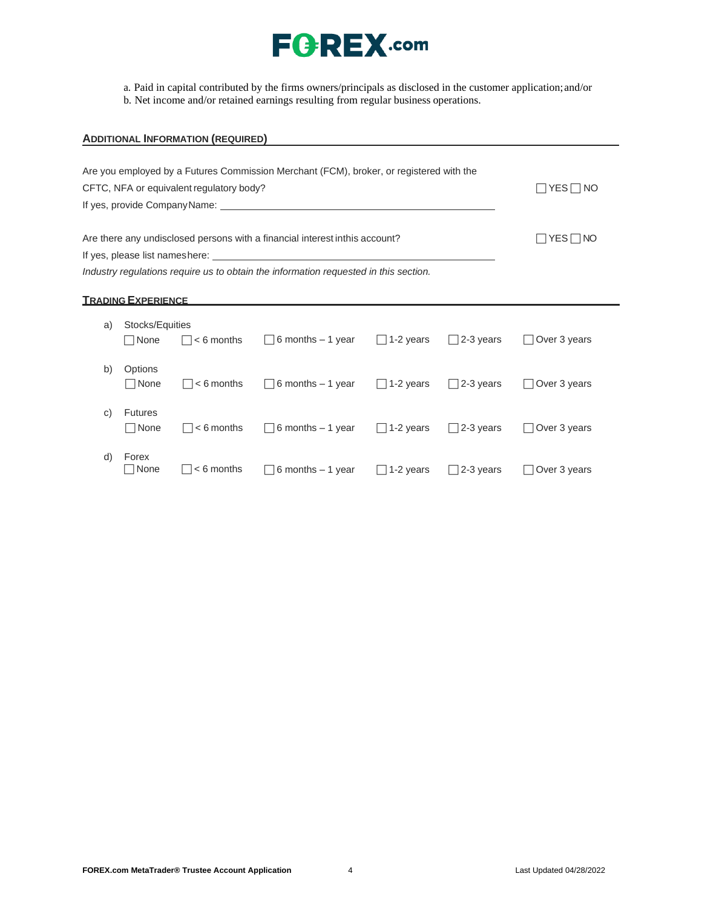

a. Paid in capital contributed by the firms owners/principals as disclosed in the customer application;and/or

b. Net income and/or retained earnings resulting from regular business operations.

# **ADDITIONAL INFORMATION (REQUIRED)** Are you employed by a Futures Commission Merchant (FCM), broker, or registered with the CFTC, NFA or equivalent regulatory body?  $\Box$  YES  $\Box$  NO If yes, provide CompanyName: Are there any undisclosed persons with a financial interest inthis account?  $\Box$  YES  $\Box$  NO If yes, please list nameshere: *Industry regulations require us to obtain the information requested in this section.*

### **TRADING EXPERIENCE**

| a) | Stocks/Equities<br>□None      | $\Box$ < 6 months          | $\Box$ 6 months $-1$ year | $\Box$ 1-2 years | $\Box$ 2-3 years | Over 3 years        |
|----|-------------------------------|----------------------------|---------------------------|------------------|------------------|---------------------|
| b) | Options<br>$\Box$ None        | $ $ $ $ < 6 months         | $\Box$ 6 months – 1 year  | $\Box$ 1-2 years | $\Box$ 2-3 years | Over 3 years        |
| C) | <b>Futures</b><br>$\Box$ None | $ $ $ $ < 6 months         | $\Box$ 6 months – 1 year  | $\Box$ 1-2 years | $\Box$ 2-3 years | Over 3 years        |
| d) | Forex<br>□ None               | $\vert \vert$ $<$ 6 months | $\Box$ 6 months $-1$ year | $\Box$ 1-2 years | $\Box$ 2-3 years | $\Box$ Over 3 years |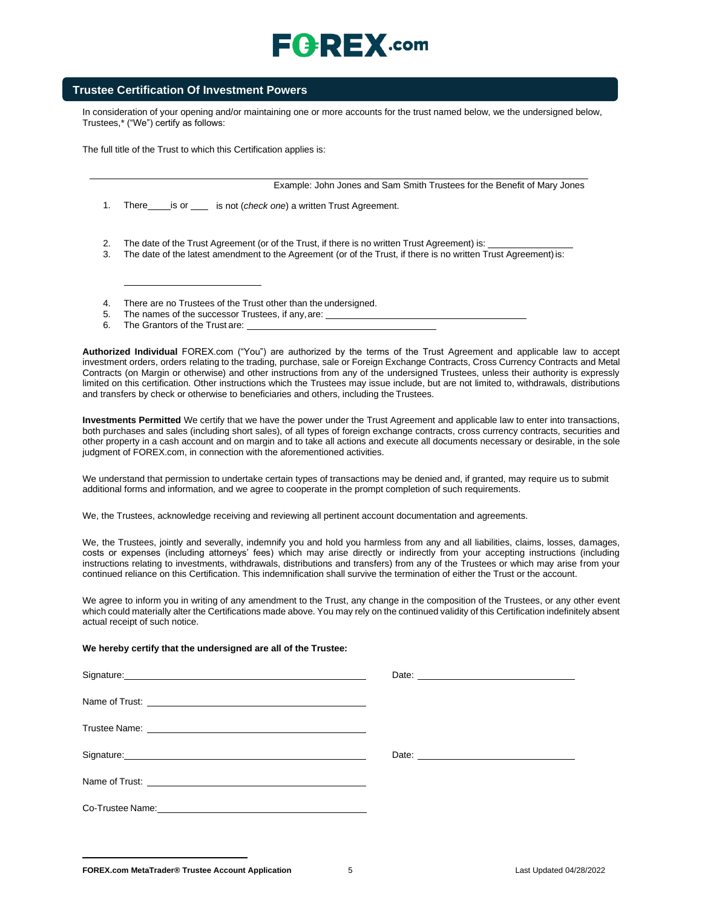# $E$   $E$   $E$   $E$   $X$  .com

# **Trustee Certification Of Investment Powers**

In consideration of your opening and/or maintaining one or more accounts for the trust named below, we the undersigned below, Trustee[s,\\* \(](#page-5-0)"We") certify as follows:

The full title of the Trust to which this Certification applies is:

Example: John Jones and Sam Smith Trustees for the Benefit of Mary Jones

1. There is or <u>end the ortel check</u> one) a written Trust Agreement.

- 2. The date of the Trust Agreement (or of the Trust, if there is no written Trust Agreement) is:
- 3. The date of the latest amendment to the Agreement (or of the Trust, if there is no written Trust Agreement) is:
- 4. There are no Trustees of the Trust other than the undersigned.
- 5. The names of the successor Trustees, if any, are:
- 6. The Grantors of the Trust are:

**Authorized Individual** FOREX.com ("You") are authorized by the terms of the Trust Agreement and applicable law to accept investment orders, orders relating to the trading, purchase, sale or Foreign Exchange Contracts, Cross Currency Contracts and Metal Contracts (on Margin or otherwise) and other instructions from any of the undersigned Trustees, unless their authority is expressly limited on this certification. Other instructions which the Trustees may issue include, but are not limited to, withdrawals, distributions and transfers by check or otherwise to beneficiaries and others, including the Trustees.

**Investments Permitted** We certify that we have the power under the Trust Agreement and applicable law to enter into transactions, both purchases and sales (including short sales), of all types of foreign exchange contracts, cross currency contracts, securities and other property in a cash account and on margin and to take all actions and execute all documents necessary or desirable, in the sole judgment of FOREX.com, in connection with the aforementioned activities.

We understand that permission to undertake certain types of transactions may be denied and, if granted, may require us to submit additional forms and information, and we agree to cooperate in the prompt completion of such requirements.

We, the Trustees, acknowledge receiving and reviewing all pertinent account documentation and agreements.

We, the Trustees, jointly and severally, indemnify you and hold you harmless from any and all liabilities, claims, losses, damages, costs or expenses (including attorneys' fees) which may arise directly or indirectly from your accepting instructions (including instructions relating to investments, withdrawals, distributions and transfers) from any of the Trustees or which may arise from your continued reliance on this Certification. This indemnification shall survive the termination of either the Trust or the account.

We agree to inform you in writing of any amendment to the Trust, any change in the composition of the Trustees, or any other event which could materially alter the Certifications made above. You may rely on the continued validity of this Certification indefinitely absent actual receipt of such notice.

#### **We hereby certify that the undersigned are all of the Trustee:**

| Signature: <u>Contract Communication</u>                                                                                                                                                                                             |  |
|--------------------------------------------------------------------------------------------------------------------------------------------------------------------------------------------------------------------------------------|--|
|                                                                                                                                                                                                                                      |  |
| Trustee Name: <u>example and the series of the series of the series of the series of the series of the series of the series of the series of the series of the series of the series of the series of the series of the series of</u> |  |
| Signature: <u>contact and a series of the series of the series of the series of the series of the series of the series of the series of the series of the series of the series of the series of the series of the series of the </u> |  |
|                                                                                                                                                                                                                                      |  |
|                                                                                                                                                                                                                                      |  |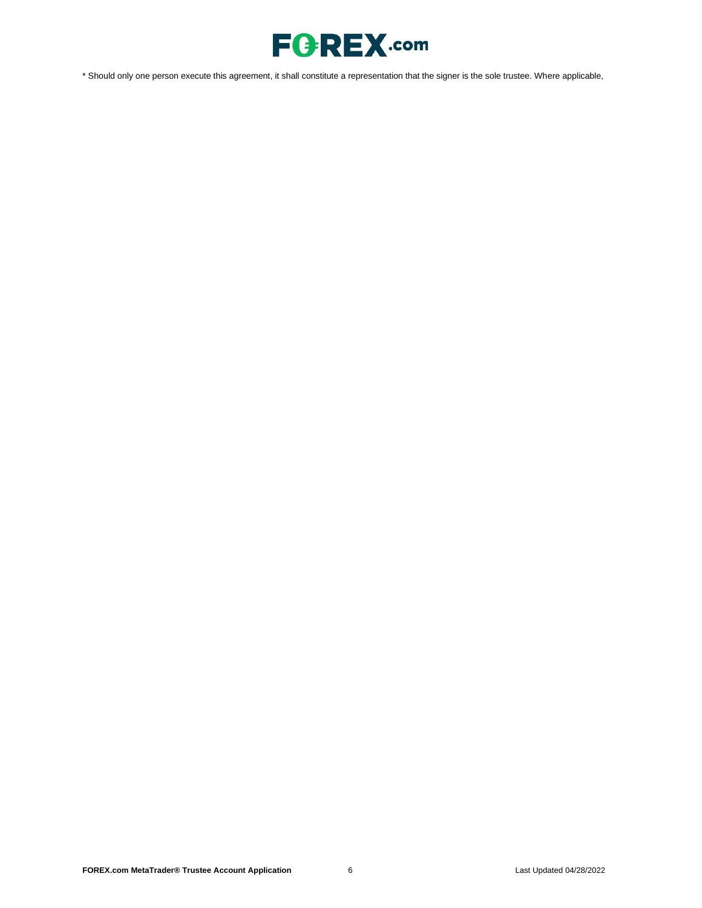

<span id="page-5-0"></span>\* Should only one person execute this agreement, it shall constitute a representation that the signer is the sole trustee. Where applicable,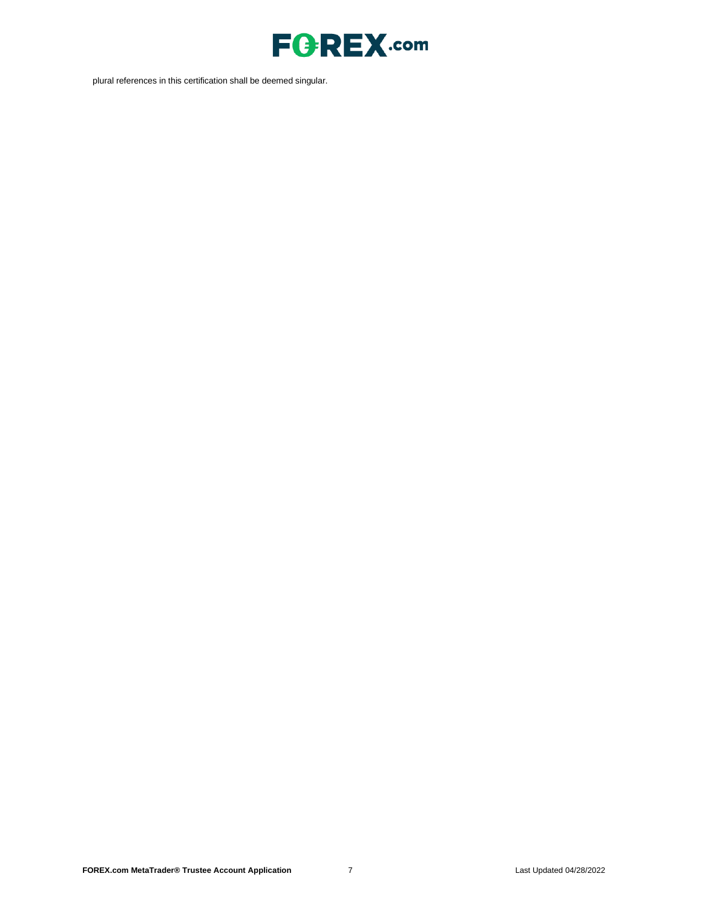

plural references in this certification shall be deemed singular.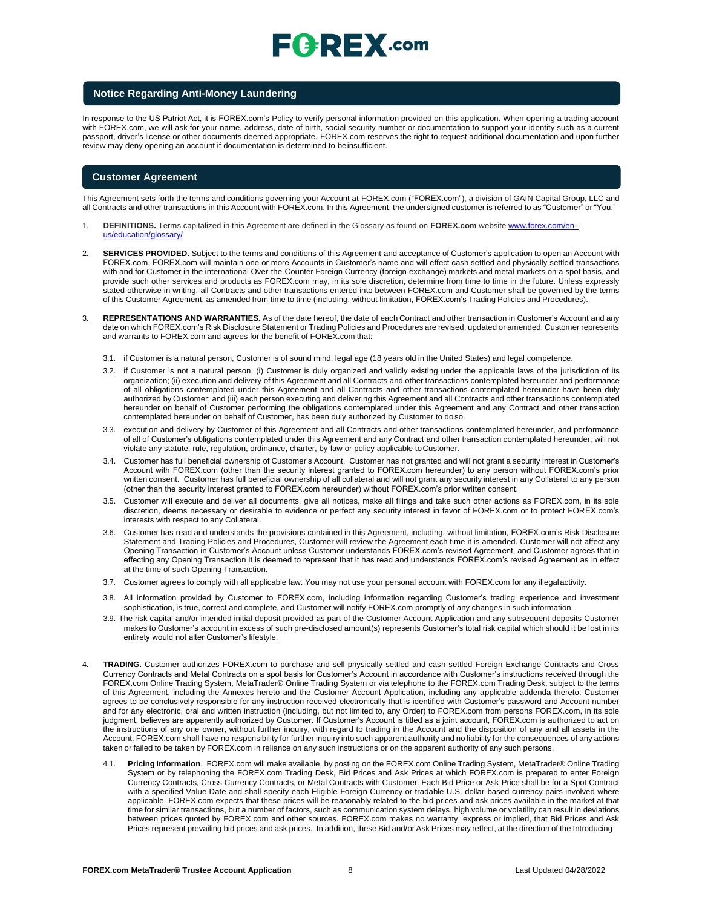# $\sqsubseteq$   $\ominus$   $\sqsubseteq$   $\chi$  .com

#### **Notice Regarding Anti-Money Laundering**

In response to the US Patriot Act, it is FOREX.com's Policy to verify personal information provided on this application. When opening a trading account with FOREX.com, we will ask for your name, address, date of birth, social security number or documentation to support your identity such as a current passport, driver's license or other documents deemed appropriate. FOREX.com reserves the right to request additional documentation and upon further review may deny opening an account if documentation is determined to beinsufficient.

### **Customer Agreement**

This Agreement sets forth the terms and conditions governing your Account at FOREX.com ("FOREX.com"), a division of GAIN Capital Group, LLC and all Contracts and other transactions in this Account with FOREX.com. In this Agreement, the undersigned customer is referred to as "Customer" or "You."

- 1. **DEFINITIONS.** Terms capitalized in this Agreement are defined in the Glossary as found on **FOREX.com** website [www.forex.com/en](http://www.forex.com/en-us/education/glossary/)[us/education/glossary/](http://www.forex.com/en-us/education/glossary/)
- 2. **SERVICES PROVIDED**. Subject to the terms and conditions of this Agreement and acceptance of Customer's application to open an Account with FOREX.com, FOREX.com will maintain one or more Accounts in Customer's name and will effect cash settled and physically settled transactions with and for Customer in the international Over-the-Counter Foreign Currency (foreign exchange) markets and metal markets on a spot basis, and provide such other services and products as FOREX.com may, in its sole discretion, determine from time to time in the future. Unless expressly stated otherwise in writing, all Contracts and other transactions entered into between FOREX.com and Customer shall be governed by the terms of this Customer Agreement, as amended from time to time (including, without limitation, FOREX.com's Trading Policies and Procedures).
- 3. **REPRESENTATIONS AND WARRANTIES.** As of the date hereof, the date of each Contract and other transaction in Customer's Account and any date on which FOREX.com's Risk Disclosure Statement or Trading Policies and Procedures are revised, updated or amended, Customer represents and warrants to FOREX.com and agrees for the benefit of FOREX.com that:
	- 3.1. if Customer is a natural person, Customer is of sound mind, legal age (18 years old in the United States) and legal competence.
	- 3.2. if Customer is not a natural person, (i) Customer is duly organized and validly existing under the applicable laws of the jurisdiction of its organization; (ii) execution and delivery of this Agreement and all Contracts and other transactions contemplated hereunder and performance of all obligations contemplated under this Agreement and all Contracts and other transactions contemplated hereunder have been duly authorized by Customer; and (iii) each person executing and delivering this Agreement and all Contracts and other transactions contemplated hereunder on behalf of Customer performing the obligations contemplated under this Agreement and any Contract and other transaction contemplated hereunder on behalf of Customer, has been duly authorized by Customer to doso.
	- 3.3. execution and delivery by Customer of this Agreement and all Contracts and other transactions contemplated hereunder, and performance of all of Customer's obligations contemplated under this Agreement and any Contract and other transaction contemplated hereunder, will not violate any statute, rule, regulation, ordinance, charter, by-law or policy applicable toCustomer.
	- 3.4. Customer has full beneficial ownership of Customer's Account. Customer has not granted and will not grant a security interest in Customer's Account with FOREX.com (other than the security interest granted to FOREX.com hereunder) to any person without FOREX.com's prior written consent. Customer has full beneficial ownership of all collateral and will not grant any security interest in any Collateral to any person (other than the security interest granted to FOREX.com hereunder) without FOREX.com's prior written consent.
	- 3.5. Customer will execute and deliver all documents, give all notices, make all filings and take such other actions as FOREX.com, in its sole discretion, deems necessary or desirable to evidence or perfect any security interest in favor of FOREX.com or to protect FOREX.com's interests with respect to any Collateral.
	- 3.6. Customer has read and understands the provisions contained in this Agreement, including, without limitation, FOREX.com's Risk Disclosure Statement and Trading Policies and Procedures, Customer will review the Agreement each time it is amended. Customer will not affect any Opening Transaction in Customer's Account unless Customer understands FOREX.com's revised Agreement, and Customer agrees that in effecting any Opening Transaction it is deemed to represent that it has read and understands FOREX.com's revised Agreement as in effect at the time of such Opening Transaction.
	- 3.7. Customer agrees to comply with all applicable law. You may not use your personal account with FOREX.com for any illegalactivity.
	- 3.8. All information provided by Customer to FOREX.com, including information regarding Customer's trading experience and investment sophistication, is true, correct and complete, and Customer will notify FOREX.com promptly of any changes in such information.
	- 3.9. The risk capital and/or intended initial deposit provided as part of the Customer Account Application and any subsequent deposits Customer makes to Customer's account in excess of such pre-disclosed amount(s) represents Customer's total risk capital which should it be lost in its entirety would not alter Customer's lifestyle.
- 4. **TRADING.** Customer authorizes FOREX.com to purchase and sell physically settled and cash settled Foreign Exchange Contracts and Cross Currency Contracts and Metal Contracts on a spot basis for Customer's Account in accordance with Customer's instructions received through the FOREX.com Online Trading System, MetaTrader® Online Trading System or via telephone to the FOREX.com Trading Desk, subject to the terms of this Agreement, including the Annexes hereto and the Customer Account Application, including any applicable addenda thereto. Customer agrees to be conclusively responsible for any instruction received electronically that is identified with Customer's password and Account number and for any electronic, oral and written instruction (including, but not limited to, any Order) to FOREX.com from persons FOREX.com, in its sole judgment, believes are apparently authorized by Customer. If Customer's Account is titled as a joint account, FOREX.com is authorized to act on the instructions of any one owner, without further inquiry, with regard to trading in the Account and the disposition of any and all assets in the Account. FOREX.com shall have no responsibility for further inquiry into such apparent authority and no liability for the consequences of any actions taken or failed to be taken by FOREX.com in reliance on any such instructions or on the apparent authority of any such persons.
	- 4.1. **Pricing Information**. FOREX.com will make available, by posting on the FOREX.com Online Trading System, MetaTrader® Online Trading System or by telephoning the FOREX.com Trading Desk, Bid Prices and Ask Prices at which FOREX.com is prepared to enter Foreign Currency Contracts, Cross Currency Contracts, or Metal Contracts with Customer. Each Bid Price or Ask Price shall be for a Spot Contract with a specified Value Date and shall specify each Eligible Foreign Currency or tradable U.S. dollar-based currency pairs involved where applicable. FOREX.com expects that these prices will be reasonably related to the bid prices and ask prices available in the market at that time for similar transactions, but a number of factors, such as communication system delays, high volume or volatility can result in deviations between prices quoted by FOREX.com and other sources. FOREX.com makes no warranty, express or implied, that Bid Prices and Ask Prices represent prevailing bid prices and ask prices. In addition, these Bid and/or Ask Prices may reflect, at the direction of the Introducing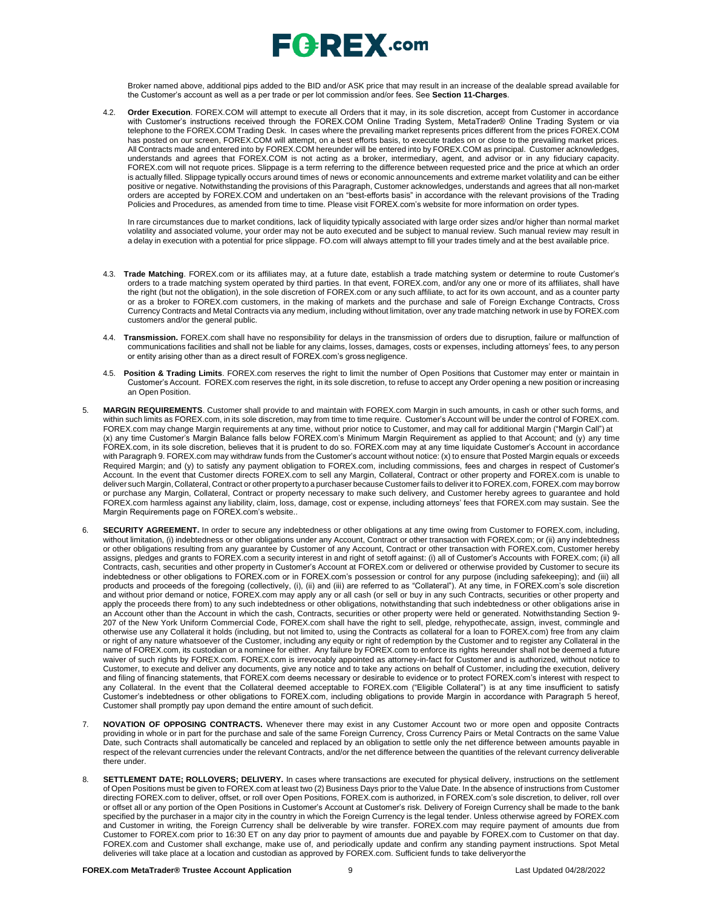

Broker named above, additional pips added to the BID and/or ASK price that may result in an increase of the dealable spread available for the Customer's account as well as a per trade or per lot commission and/or fees. See **Section 11-Charges**.

4.2. **Order Execution**. FOREX.COM will attempt to execute all Orders that it may, in its sole discretion, accept from Customer in accordance with Customer's instructions received through the FOREX.COM Online Trading System, MetaTrader® Online Trading System or via telephone to the FOREX.COM Trading Desk. In cases where the prevailing market represents prices different from the prices FOREX.COM has posted on our screen, FOREX.COM will attempt, on a best efforts basis, to execute trades on or close to the prevailing market prices. All Contracts made and entered into by FOREX.COM hereunder will be entered into by FOREX.COM as principal. Customer acknowledges, understands and agrees that FOREX.COM is not acting as a broker, intermediary, agent, and advisor or in any fiduciary capacity. FOREX.com will not requote prices. Slippage is a term referring to the difference between requested price and the price at which an order is actually filled. Slippage typically occurs around times of news or economic announcements and extreme market volatility and can be either positive or negative. Notwithstanding the provisions of this Paragraph, Customer acknowledges, understands and agrees that all non-market orders are accepted by FOREX.COM and undertaken on an "best-efforts basis" in accordance with the relevant provisions of the Trading Policies and Procedures, as amended from time to time. Please visit FOREX.com's website for more information on order types.

In rare circumstances due to market conditions, lack of liquidity typically associated with large order sizes and/or higher than normal market volatility and associated volume, your order may not be auto executed and be subject to manual review. Such manual review may result in a delay in execution with a potential for price slippage. [FO.com w](http://forex.com/)ill always attempt to fill your trades timely and at the best available price.

- 4.3. **Trade Matching**. FOREX.com or its affiliates may, at a future date, establish a trade matching system or determine to route Customer's orders to a trade matching system operated by third parties. In that event, FOREX.com, and/or any one or more of its affiliates, shall have the right (but not the obligation), in the sole discretion of FOREX.com or any such affiliate, to act for its own account, and as a counter party or as a broker to FOREX.com customers, in the making of markets and the purchase and sale of Foreign Exchange Contracts, Cross Currency Contracts and Metal Contracts via any medium, including without limitation, over any trade matching network in use by FOREX.com customers and/or the general public.
- 4.4. **Transmission.** FOREX.com shall have no responsibility for delays in the transmission of orders due to disruption, failure or malfunction of communications facilities and shall not be liable for any claims, losses, damages, costs or expenses, including attorneys' fees, to any person or entity arising other than as a direct result of FOREX.com's gross negligence.
- 4.5. **Position & Trading Limits**. FOREX.com reserves the right to limit the number of Open Positions that Customer may enter or maintain in Customer's Account. FOREX.com reserves the right, in its sole discretion, to refuse to accept any Order opening a new position or increasing an Open Position.
- 5. **MARGIN REQUIREMENTS**. Customer shall provide to and maintain with FOREX.com Margin in such amounts, in cash or other such forms, and within such limits as FOREX.com, in its sole discretion, may from time to time require. Customer's Account will be under the control of FOREX.com. FOREX.com may change Margin requirements at any time, without prior notice to Customer, and may call for additional Margin ("Margin Call") at (x) any time Customer's Margin Balance falls below FOREX.com's Minimum Margin Requirement as applied to that Account; and (y) any time FOREX.com, in its sole discretion, believes that it is prudent to do so. FOREX.com may at any time liquidate Customer's Account in accordance with Paragraph 9. FOREX.com may withdraw funds from the Customer's account without notice: (x) to ensure that Posted Margin equals or exceeds Required Margin; and (y) to satisfy any payment obligation to FOREX.com, including commissions, fees and charges in respect of Customer's Account. In the event that Customer directs FOREX.com to sell any Margin, Collateral, Contract or other property and FOREX.com is unable to deliver such Margin, Collateral, Contract or other propertyto a purchaser because Customer fails to deliver it to FOREX.com, FOREX.com may borrow or purchase any Margin, Collateral, Contract or property necessary to make such delivery, and Customer hereby agrees to guarantee and hold FOREX.com harmless against any liability, claim, loss, damage, cost or expense, including attorneys' fees that FOREX.com may sustain. See the Margin Requirements page on FOREX.com's website..
- 6. **SECURITY AGREEMENT.** In order to secure any indebtedness or other obligations at any time owing from Customer to FOREX.com, including, without limitation, (i) indebtedness or other obligations under any Account, Contract or other transaction with FOREX.com; or (ii) any indebtedness or other obligations resulting from any guarantee by Customer of any Account, Contract or other transaction with FOREX.com, Customer hereby assigns, pledges and grants to FOREX.com a security interest in and right of setoff against: (i) all of Customer's Accounts with FOREX.com; (ii) all Contracts, cash, securities and other property in Customer's Account at FOREX.com or delivered or otherwise provided by Customer to secure its indebtedness or other obligations to FOREX.com or in FOREX.com's possession or control for any purpose (including safekeeping); and (iii) all products and proceeds of the foregoing (collectively, (i), (ii) and (iii) are referred to as "Collateral"). At any time, in FOREX.com's sole discretion and without prior demand or notice, FOREX.com may apply any or all cash (or sell or buy in any such Contracts, securities or other property and apply the proceeds there from) to any such indebtedness or other obligations, notwithstanding that such indebtedness or other obligations arise in an Account other than the Account in which the cash, Contracts, securities or other property were held or generated. Notwithstanding Section 9- 207 of the New York Uniform Commercial Code, FOREX.com shall have the right to sell, pledge, rehypothecate, assign, invest, commingle and otherwise use any Collateral it holds (including, but not limited to, using the Contracts as collateral for a loan to FOREX.com) free from any claim or right of any nature whatsoever of the Customer, including any equity or right of redemption by the Customer and to register any Collateral in the name of FOREX.com, its custodian or a nominee for either. Any failure by FOREX.com to enforce its rights hereunder shall not be deemed a future waiver of such rights by FOREX.com. FOREX.com is irrevocably appointed as attorney-in-fact for Customer and is authorized, without notice to Customer, to execute and deliver any documents, give any notice and to take any actions on behalf of Customer, including the execution, delivery and filing of financing statements, that FOREX.com deems necessary or desirable to evidence or to protect FOREX.com's interest with respect to any Collateral. In the event that the Collateral deemed acceptable to FOREX.com ("Eligible Collateral") is at any time insufficient to satisfy Customer's indebtedness or other obligations to FOREX.com, including obligations to provide Margin in accordance with Paragraph 5 hereof, Customer shall promptly pay upon demand the entire amount of such deficit.
- 7. **NOVATION OF OPPOSING CONTRACTS.** Whenever there may exist in any Customer Account two or more open and opposite Contracts providing in whole or in part for the purchase and sale of the same Foreign Currency, Cross Currency Pairs or Metal Contracts on the same Value Date, such Contracts shall automatically be canceled and replaced by an obligation to settle only the net difference between amounts payable in respect of the relevant currencies under the relevant Contracts, and/or the net difference between the quantities of the relevant currency deliverable there under.
- 8. **SETTLEMENT DATE; ROLLOVERS; DELIVERY.** In cases where transactions are executed for physical delivery, instructions on the settlement of Open Positions must be given to FOREX.com at least two (2) Business Days prior to the Value Date. In the absence of instructions from Customer directing FOREX.com to deliver, offset, or roll over Open Positions, FOREX.com is authorized, in FOREX.com's sole discretion, to deliver, roll over or offset all or any portion of the Open Positions in Customer's Account at Customer's risk. Delivery of Foreign Currency shall be made to the bank specified by the purchaser in a major city in the country in which the Foreign Currency is the legal tender. Unless otherwise agreed by FOREX.com and Customer in writing, the Foreign Currency shall be deliverable by wire transfer. FOREX.com may require payment of amounts due from Customer to FOREX.com prior to 16:30 ET on any day prior to payment of amounts due and payable by FOREX.com to Customer on that day. FOREX.com and Customer shall exchange, make use of, and periodically update and confirm any standing payment instructions. Spot Metal deliveries will take place at a location and custodian as approved by FOREX.com. Sufficient funds to take deliveryorthe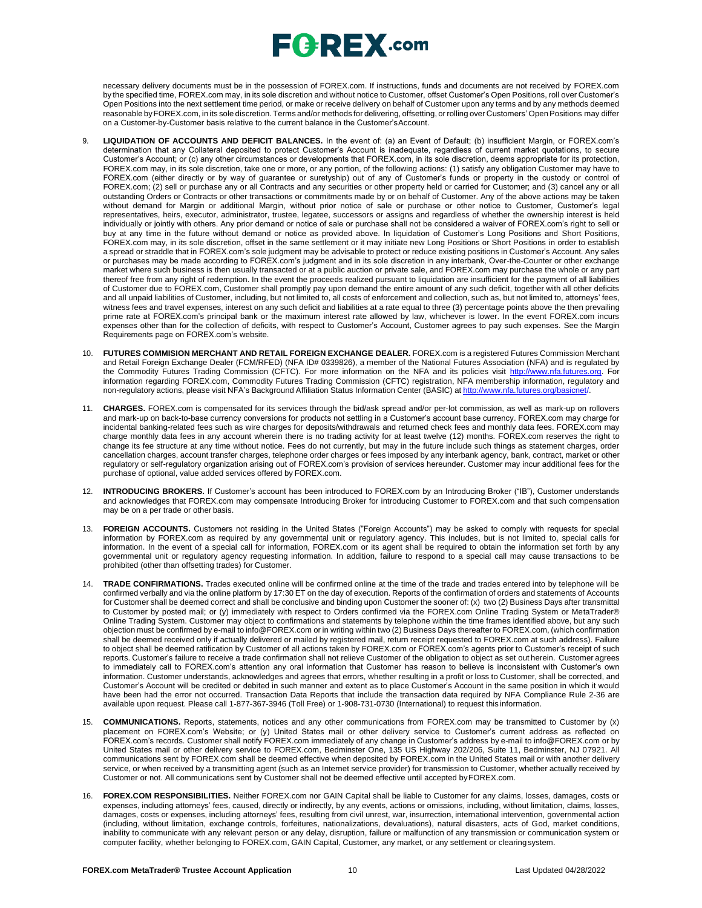# $E$ **G**  $R$ **EX** .com

necessary delivery documents must be in the possession of FOREX.com. If instructions, funds and documents are not received by FOREX.com by the specified time, FOREX.com may, in its sole discretion and without notice to Customer, offset Customer's Open Positions, roll over Customer's Open Positions into the next settlement time period, or make or receive delivery on behalf of Customer upon any terms and by any methods deemed reasonable byFOREX.com, in its sole discretion. Terms and/or methods for delivering, offsetting, or rolling over Customers' OpenPositions may differ on a Customer-by-Customer basis relative to the current balance in the Customer'sAccount.

- 9. **LIQUIDATION OF ACCOUNTS AND DEFICIT BALANCES.** In the event of: (a) an Event of Default; (b) insufficient Margin, or FOREX.com's determination that any Collateral deposited to protect Customer's Account is inadequate, regardless of current market quotations, to secure Customer's Account; or (c) any other circumstances or developments that FOREX.com, in its sole discretion, deems appropriate for its protection, FOREX.com may, in its sole discretion, take one or more, or any portion, of the following actions: (1) satisfy any obligation Customer may have to FOREX.com (either directly or by way of guarantee or suretyship) out of any of Customer's funds or property in the custody or control of FOREX.com; (2) sell or purchase any or all Contracts and any securities or other property held or carried for Customer; and (3) cancel any or all outstanding Orders or Contracts or other transactions or commitments made by or on behalf of Customer. Any of the above actions may be taken without demand for Margin or additional Margin, without prior notice of sale or purchase or other notice to Customer, Customer's legal representatives, heirs, executor, administrator, trustee, legatee, successors or assigns and regardless of whether the ownership interest is held individually or jointly with others. Any prior demand or notice of sale or purchase shall not be considered a waiver of FOREX.com's right to sell or buy at any time in the future without demand or notice as provided above. In liquidation of Customer's Long Positions and Short Positions, FOREX.com may, in its sole discretion, offset in the same settlement or it may initiate new Long Positions or Short Positions in order to establish a spread or straddle that in FOREX.com's sole judgment may be advisable to protect or reduce existing positions in Customer's Account. Any sales or purchases may be made according to FOREX.com's judgment and in its sole discretion in any interbank, Over-the-Counter or other exchange market where such business is then usually transacted or at a public auction or private sale, and FOREX.com may purchase the whole or any part thereof free from any right of redemption. In the event the proceeds realized pursuant to liquidation are insufficient for the payment of all liabilities of Customer due to FOREX.com, Customer shall promptly pay upon demand the entire amount of any such deficit, together with all other deficits and all unpaid liabilities of Customer, including, but not limited to, all costs of enforcement and collection, such as, but not limited to, attorneys' fees, witness fees and travel expenses, interest on any such deficit and liabilities at a rate equal to three (3) percentage points above the then prevailing prime rate at FOREX.com's principal bank or the maximum interest rate allowed by law, whichever is lower. In the event FOREX.com incurs expenses other than for the collection of deficits, with respect to Customer's Account, Customer agrees to pay such expenses. See the Margin Requirements page on FOREX.com's website.
- 10. **FUTURES COMMISION MERCHANT AND RETAIL FOREIGN EXCHANGE DEALER.** FOREX.com is a registered Futures Commission Merchant and Retail Foreign Exchange Dealer (FCM/RFED) (NFA ID# 0339826), a member of the National Futures Association (NFA) and is regulated by the Commodity Futures Trading Commission (CFTC). For more information on the NFA and its policies visit [http://www.nfa.futures.org.](http://www.nfa.futures.org/) For information regarding FOREX.com, Commodity Futures Trading Commission (CFTC) registration, NFA membership information, regulatory and non-regulatory actions, please visit NFA's Background Affiliation Status Information Center (BASIC) at [http://www.nfa.futures.org/basicnet/.](http://www.nfa.futures.org/basicnet/)
- 11. **CHARGES.** FOREX.com is compensated for its services through the bid/ask spread and/or per-lot commission, as well as mark-up on rollovers and mark-up on back-to-base currency conversions for products not settling in a Customer's account base currency. FOREX.com may charge for incidental banking-related fees such as wire charges for deposits/withdrawals and returned check fees and monthly data fees. FOREX.com may charge monthly data fees in any account wherein there is no trading activity for at least twelve (12) months. FOREX.com reserves the right to change its fee structure at any time without notice. Fees do not currently, but may in the future include such things as statement charges, order cancellation charges, account transfer charges, telephone order charges or fees imposed by any interbank agency, bank, contract, market or other regulatory or self-regulatory organization arising out of FOREX.com's provision of services hereunder. Customer may incur additional fees for the purchase of optional, value added services offered by FOREX.com.
- 12. **INTRODUCING BROKERS.** If Customer's account has been introduced to FOREX.com by an Introducing Broker ("IB"), Customer understands and acknowledges that FOREX.com may compensate Introducing Broker for introducing Customer to FOREX.com and that such compensation may be on a per trade or other basis.
- 13. **FOREIGN ACCOUNTS.** Customers not residing in the United States ("Foreign Accounts") may be asked to comply with requests for special information by FOREX.com as required by any governmental unit or regulatory agency. This includes, but is not limited to, special calls for information. In the event of a special call for information, FOREX.com or its agent shall be required to obtain the information set forth by any governmental unit or regulatory agency requesting information. In addition, failure to respond to a special call may cause transactions to be prohibited (other than offsetting trades) for Customer.
- 14. **TRADE CONFIRMATIONS.** Trades executed online will be confirmed online at the time of the trade and trades entered into by telephone will be confirmed verbally and via the online platform by 17:30 ET on the day of execution. Reports of the confirmation of orders and statements of Accounts for Customer shall be deemed correct and shall be conclusive and binding upon Customer the sooner of: (x) two (2) Business Days after transmittal to Customer by posted mail; or (y) immediately with respect to Orders confirmed via the FOREX.com Online Trading System or MetaTrader® Online Trading System. Customer may object to confirmations and statements by telephone within the time frames identified above, but any such objection must be confirmed by e-mail to [info@FOREX.com](mailto:info@FOREX.com) or in writing within two (2) Business Days thereafter to FOREX.com, (which confirmation shall be deemed received only if actually delivered or mailed by registered mail, return receipt requested to FOREX.com at such address). Failure to object shall be deemed ratification by Customer of all actions taken by FOREX.com or FOREX.com's agents prior to Customer's receipt of such reports. Customer's failure to receive a trade confirmation shall not relieve Customer of the obligation to object as set out herein. Customer agrees to immediately call to FOREX.com's attention any oral information that Customer has reason to believe is inconsistent with Customer's own information. Customer understands, acknowledges and agrees that errors, whether resulting in a profit or loss to Customer, shall be corrected, and Customer's Account will be credited or debited in such manner and extent as to place Customer's Account in the same position in which it would have been had the error not occurred. Transaction Data Reports that include the transaction data required by NFA Compliance Rule 2-36 are available upon request. Please call 1-877-367-3946 (Toll Free) or 1-908-731-0730 (International) to request this information.
- 15. **COMMUNICATIONS.** Reports, statements, notices and any other communications from FOREX.com may be transmitted to Customer by (x) placement on FOREX.com's Website; or (y) United States mail or other delivery service to Customer's current address as reflected on FOREX.com's records. Customer shall notify FOREX.com immediately of any change in Customer's address by e-mail to [info@FOREX.com](mailto:info@FOREX.com) or by United States mail or other delivery service to FOREX.com, Bedminster One, 135 US Highway 202/206, Suite 11, Bedminster, NJ 07921. All communications sent by FOREX.com shall be deemed effective when deposited by FOREX.com in the United States mail or with another delivery service, or when received by a transmitting agent (such as an Internet service provider) for transmission to Customer, whether actually received by Customer or not. All communications sent by Customer shall not be deemed effective until accepted byFOREX.com.
- 16. **FOREX.COM RESPONSIBILITIES.** Neither FOREX.com nor GAIN Capital shall be liable to Customer for any claims, losses, damages, costs or expenses, including attorneys' fees, caused, directly or indirectly, by any events, actions or omissions, including, without limitation, claims, losses, damages, costs or expenses, including attorneys' fees, resulting from civil unrest, war, insurrection, international intervention, governmental action (including, without limitation, exchange controls, forfeitures, nationalizations, devaluations), natural disasters, acts of God, market conditions, inability to communicate with any relevant person or any delay, disruption, failure or malfunction of any transmission or communication system or computer facility, whether belonging to FOREX.com, GAIN Capital, Customer, any market, or any settlement or clearingsystem.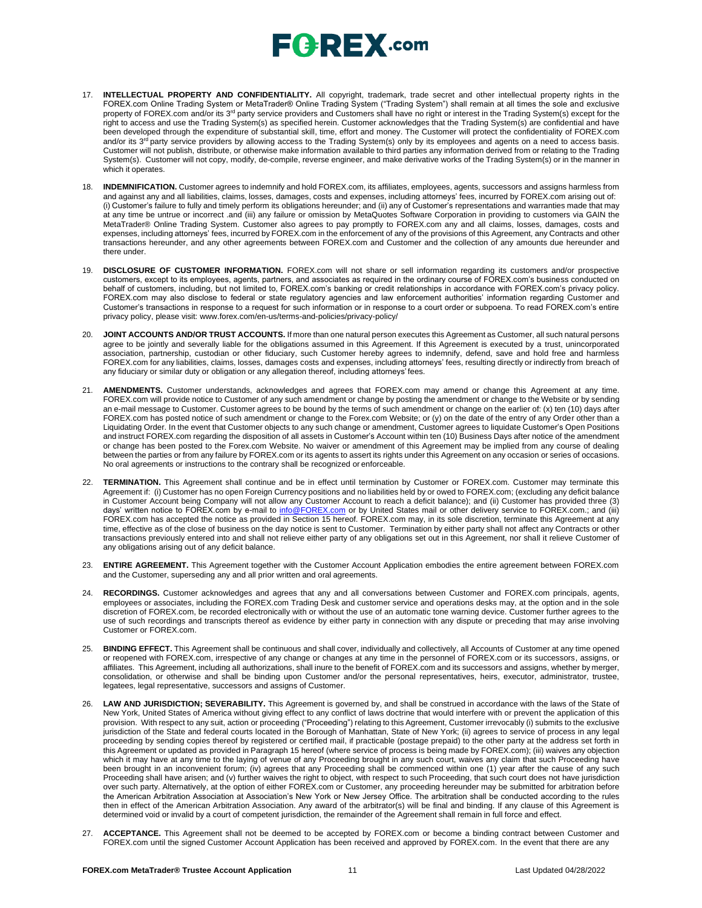- 17. **INTELLECTUAL PROPERTY AND CONFIDENTIALITY.** All copyright, trademark, trade secret and other intellectual property rights in the FOREX.com Online Trading System or MetaTrader® Online Trading System ("Trading System") shall remain at all times the sole and exclusive property of FOREX.com and/or its 3<sup>rd</sup> party service providers and Customers shall have no right or interest in the Trading System(s) except for the right to access and use the Trading System(s) as specified herein. Customer acknowledges that the Trading System(s) are confidential and have been developed through the expenditure of substantial skill, time, effort and money. The Customer will protect the confidentiality of FOREX.com and/or its 3<sup>rd</sup> party service providers by allowing access to the Trading System(s) only by its employees and agents on a need to access basis. Customer will not publish, distribute, or otherwise make information available to third parties any information derived from or relating to the Trading System(s). Customer will not copy, modify, de-compile, reverse engineer, and make derivative works of the Trading System(s) or in the manner in which it operates.
- 18. **INDEMNIFICATION.** Customer agrees to indemnify and hold FOREX.com, its affiliates, employees, agents, successors and assigns harmless from and against any and all liabilities, claims, losses, damages, costs and expenses, including attorneys' fees, incurred by FOREX.com arising out of: (i) Customer's failure to fully and timely perform its obligations hereunder; and (ii) any of Customer's representations and warranties made that may at any time be untrue or incorrect .and (iii) any failure or omission by MetaQuotes Software Corporation in providing to customers via GAIN the MetaTrader® Online Trading System. Customer also agrees to pay promptly to FOREX.com any and all claims, losses, damages, costs and expenses, including attorneys' fees, incurred by FOREX.com in the enforcement of any of the provisions of this Agreement, any Contracts and other transactions hereunder, and any other agreements between FOREX.com and Customer and the collection of any amounts due hereunder and there under.
- 19. **DISCLOSURE OF CUSTOMER INFORMATION.** FOREX.com will not share or sell information regarding its customers and/or prospective customers, except to its employees, agents, partners, and associates as required in the ordinary course of FOREX.com's business conducted on behalf of customers, including, but not limited to, FOREX.com's banking or credit relationships in accordance with FOREX.com's privacy policy. FOREX.com may also disclose to federal or state regulatory agencies and law enforcement authorities' information regarding Customer and Customer's transactions in response to a request for such information or in response to a court order or subpoena. To read FOREX.com's entire privacy policy, please visit: [www.forex.com/en-us/terms-and-policies/privacy-policy/](http://www.forex.com/en-us/terms-and-policies/privacy-policy/)
- 20. **JOINT ACCOUNTS AND/OR TRUST ACCOUNTS.** If more than one natural person executes this Agreement as Customer, all such natural persons agree to be jointly and severally liable for the obligations assumed in this Agreement. If this Agreement is executed by a trust, unincorporated association, partnership, custodian or other fiduciary, such Customer hereby agrees to indemnify, defend, save and hold free and harmless FOREX.com for any liabilities, claims, losses, damages costs and expenses, including attorneys' fees, resulting directly or indirectly from breach of any fiduciary or similar duty or obligation or any allegation thereof, including attorneys' fees.
- 21. **AMENDMENTS.** Customer understands, acknowledges and agrees that FOREX.com may amend or change this Agreement at any time. FOREX.com will provide notice to Customer of any such amendment or change by posting the amendment or change to the Website or by sending an e-mail message to Customer. Customer agrees to be bound by the terms of such amendment or change on the earlier of: (x) ten (10) days after FOREX.com has posted notice of such amendment or change to the Forex.com Website; or (y) on the date of the entry of any Order other than a Liquidating Order. In the event that Customer objects to any such change or amendment, Customer agrees to liquidate Customer's Open Positions and instruct FOREX.com regarding the disposition of all assets in Customer's Account within ten (10) Business Days after notice of the amendment or change has been posted to the Forex.com Website. No waiver or amendment of this Agreement may be implied from any course of dealing between the parties or from any failure by FOREX.com or its agents to assert its rights under this Agreement on any occasion or series of occasions. No oral agreements or instructions to the contrary shall be recognized or enforceable.
- 22. **TERMINATION.** This Agreement shall continue and be in effect until termination by Customer or FOREX.com. Customer may terminate this Agreement if: (i) Customer has no open Foreign Currency positions and no liabilities held by or owed to FOREX.com; (excluding any deficit balance in Customer Account being Company will not allow any Customer Account to reach a deficit balance); and (ii) Customer has provided three (3) days' written notice to FOREX.com by e-mail to <u>[info@FOREX.com](mailto:info@fxadvantage.com)</u> or by United States mail or other delivery service to FOREX.com.; and (iii) FOREX.com has accepted the notice as provided in Section 15 hereof. FOREX.com may, in its sole discretion, terminate this Agreement at any time, effective as of the close of business on the day notice is sent to Customer. Termination by either party shall not affect any Contracts or other transactions previously entered into and shall not relieve either party of any obligations set out in this Agreement, nor shall it relieve Customer of any obligations arising out of any deficit balance.
- 23. **ENTIRE AGREEMENT.** This Agreement together with the Customer Account Application embodies the entire agreement between FOREX.com and the Customer, superseding any and all prior written and oral agreements.
- 24. **RECORDINGS.** Customer acknowledges and agrees that any and all conversations between Customer and FOREX.com principals, agents, employees or associates, including the FOREX.com Trading Desk and customer service and operations desks may, at the option and in the sole discretion of FOREX.com, be recorded electronically with or without the use of an automatic tone warning device. Customer further agrees to the use of such recordings and transcripts thereof as evidence by either party in connection with any dispute or preceding that may arise involving Customer or FOREX.com.
- 25. **BINDING EFFECT.** This Agreement shall be continuous and shall cover, individually and collectively, all Accounts of Customer at any time opened or reopened with FOREX.com, irrespective of any change or changes at any time in the personnel of FOREX.com or its successors, assigns, or affiliates. This Agreement, including all authorizations, shall inure to the benefit of FOREX.com and its successors and assigns, whether by merger, consolidation, or otherwise and shall be binding upon Customer and/or the personal representatives, heirs, executor, administrator, trustee, legatees, legal representative, successors and assigns of Customer.
- 26. **LAW AND JURISDICTION; SEVERABILITY.** This Agreement is governed by, and shall be construed in accordance with the laws of the State of New York, United States of America without giving effect to any conflict of laws doctrine that would interfere with or prevent the application of this provision. With respect to any suit, action or proceeding ("Proceeding") relating to this Agreement, Customer irrevocably (i) submits to the exclusive jurisdiction of the State and federal courts located in the Borough of Manhattan, State of New York; (ii) agrees to service of process in any legal proceeding by sending copies thereof by registered or certified mail, if practicable (postage prepaid) to the other party at the address set forth in this Agreement or updated as provided in Paragraph 15 hereof (where service of process is being made by FOREX.com); (iii) waives any objection which it may have at any time to the laying of venue of any Proceeding brought in any such court, waives any claim that such Proceeding have been brought in an inconvenient forum; (iv) agrees that any Proceeding shall be commenced within one (1) year after the cause of any such Proceeding shall have arisen; and (v) further waives the right to object, with respect to such Proceeding, that such court does not have jurisdiction over such party. Alternatively, at the option of either FOREX.com or Customer, any proceeding hereunder may be submitted for arbitration before the American Arbitration Association at Association's New York or New Jersey Office. The arbitration shall be conducted according to the rules then in effect of the American Arbitration Association. Any award of the arbitrator(s) will be final and binding. If any clause of this Agreement is determined void or invalid by a court of competent jurisdiction, the remainder of the Agreement shall remain in full force and effect.
- 27. **ACCEPTANCE.** This Agreement shall not be deemed to be accepted by FOREX.com or become a binding contract between Customer and FOREX.com until the signed Customer Account Application has been received and approved by FOREX.com. In the event that there are any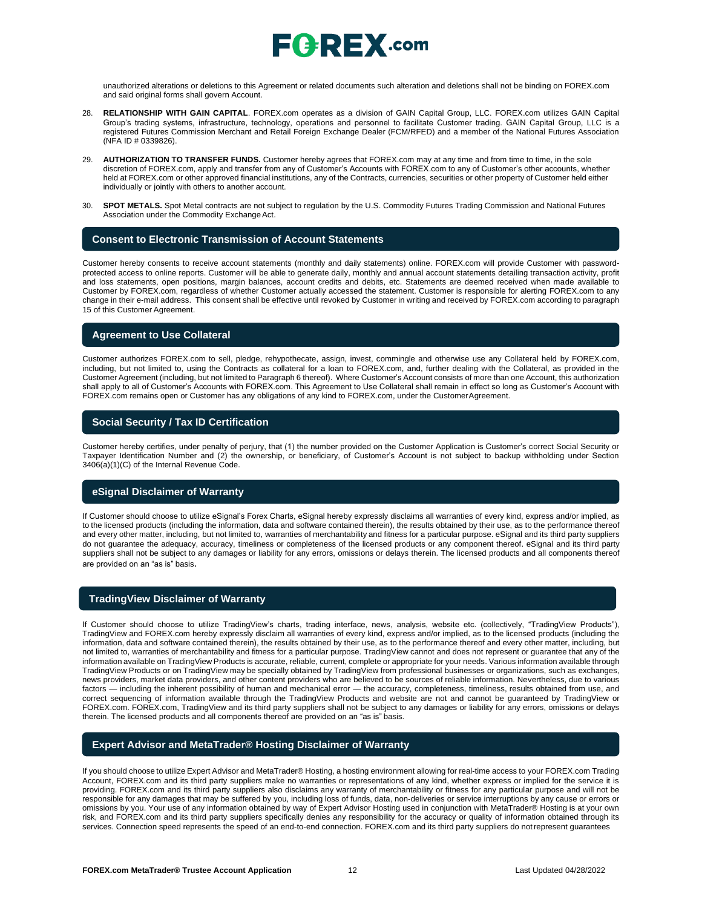

unauthorized alterations or deletions to this Agreement or related documents such alteration and deletions shall not be binding on FOREX.com and said original forms shall govern Account.

- 28. **RELATIONSHIP WITH GAIN CAPITAL**. FOREX.com operates as a division of GAIN Capital Group, LLC. FOREX.com utilizes GAIN Capital Group's trading systems, infrastructure, technology, operations and personnel to facilitate Customer trading. GAIN Capital Group, LLC is a registered Futures Commission Merchant and Retail Foreign Exchange Dealer (FCM/RFED) and a member of the National Futures Association (NFA ID # 0339826).
- 29. **AUTHORIZATION TO TRANSFER FUNDS.** Customer hereby agrees that FOREX.com may at any time and from time to time, in the sole discretion of FOREX.com, apply and transfer from any of Customer's Accounts with FOREX.com to any of Customer's other accounts, whether held at FOREX.com or other approved financial institutions, any of the Contracts, currencies, securities or other property of Customer held either individually or jointly with others to another account.
- 30. **SPOT METALS.** Spot Metal contracts are not subject to regulation by the U.S. Commodity Futures Trading Commission and National Futures Association under the Commodity Exchange Act.

#### **Consent to Electronic Transmission of Account Statements**

Customer hereby consents to receive account statements (monthly and daily statements) online. FOREX.com will provide Customer with passwordprotected access to online reports. Customer will be able to generate daily, monthly and annual account statements detailing transaction activity, profit and loss statements, open positions, margin balances, account credits and debits, etc. Statements are deemed received when made available to Customer by FOREX.com, regardless of whether Customer actually accessed the statement. Customer is responsible for alerting FOREX.com to any change in their e-mail address. This consent shall be effective until revoked by Customer in writing and received by FOREX.com according to paragraph 15 of this Customer Agreement.

### **Agreement to Use Collateral**

Customer authorizes FOREX.com to sell, pledge, rehypothecate, assign, invest, commingle and otherwise use any Collateral held by FOREX.com, including, but not limited to, using the Contracts as collateral for a loan to FOREX.com, and, further dealing with the Collateral, as provided in the Customer Agreement (including, but not limited to Paragraph 6 thereof). Where Customer's Account consists of more than one Account, this authorization shall apply to all of Customer's Accounts with FOREX.com. This Agreement to Use Collateral shall remain in effect so long as Customer's Account with FOREX.com remains open or Customer has any obligations of any kind to FOREX.com, under the CustomerAgreement.

### **Social Security / Tax ID Certification**

Customer hereby certifies, under penalty of perjury, that (1) the number provided on the Customer Application is Customer's correct Social Security or Taxpayer Identification Number and (2) the ownership, or beneficiary, of Customer's Account is not subject to backup withholding under Section 3406(a)(1)(C) of the Internal Revenue Code.

#### **eSignal Disclaimer of Warranty**

If Customer should choose to utilize eSignal's Forex Charts, eSignal hereby expressly disclaims all warranties of every kind, express and/or implied, as to the licensed products (including the information, data and software contained therein), the results obtained by their use, as to the performance thereof and every other matter, including, but not limited to, warranties of merchantability and fitness for a particular purpose. eSignal and its third party suppliers do not guarantee the adequacy, accuracy, timeliness or completeness of the licensed products or any component thereof. eSignal and its third party suppliers shall not be subject to any damages or liability for any errors, omissions or delays therein. The licensed products and all components thereof are provided on an "as is" basis.

### **TradingView Disclaimer of Warranty**

If Customer should choose to utilize TradingView's charts, trading interface, news, analysis, website etc. (collectively, "TradingView Products"), TradingView and FOREX.com hereby expressly disclaim all warranties of every kind, express and/or implied, as to the licensed products (including the information, data and software contained therein), the results obtained by their use, as to the performance thereof and every other matter, including, but not limited to, warranties of merchantability and fitness for a particular purpose. TradingView cannot and does not represent or guarantee that any of the information available on TradingView Products is accurate, reliable, current, complete or appropriate for your needs. Various information available through TradingView Products or on TradingView may be specially obtained by TradingView from professional businesses or organizations, such as exchanges, news providers, market data providers, and other content providers who are believed to be sources of reliable information. Nevertheless, due to various factors — including the inherent possibility of human and mechanical error — the accuracy, completeness, timeliness, results obtained from use, and correct sequencing of information available through the TradingView Products and website are not and cannot be guaranteed by TradingView or FOREX.com. FOREX.com, TradingView and its third party suppliers shall not be subject to any damages or liability for any errors, omissions or delays therein. The licensed products and all components thereof are provided on an "as is" basis.

### **Expert Advisor and MetaTrader® Hosting Disclaimer of Warranty**

If you should choose to utilize Expert Advisor and MetaTrader® Hosting, a hosting environment allowing for real-time access to your FOREX.com Trading Account, FOREX.com and its third party suppliers make no warranties or representations of any kind, whether express or implied for the service it is providing. FOREX.com and its third party suppliers also disclaims any warranty of merchantability or fitness for any particular purpose and will not be responsible for any damages that may be suffered by you, including loss of funds, data, non-deliveries or service interruptions by any cause or errors or omissions by you. Your use of any information obtained by way of Expert Advisor Hosting used in conjunction with MetaTrader® Hosting is at your own risk, and FOREX.com and its third party suppliers specifically denies any responsibility for the accuracy or quality of information obtained through its services. Connection speed represents the speed of an end-to-end connection. FOREX.com and its third party suppliers do notrepresent guarantees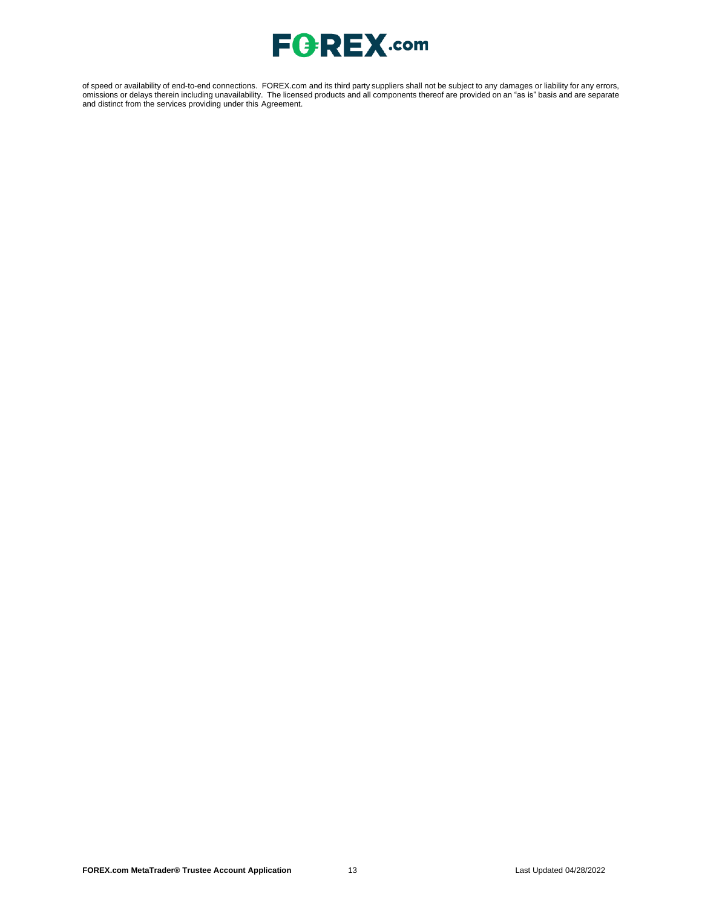

of speed or availability of end-to-end connections. FOREX.com and its third party suppliers shall not be subject to any damages or liability for any errors, omissions or delays therein including unavailability. The licensed products and all components thereof are provided on an "as is" basis and are separate and distinct from the services providing under this Agreement.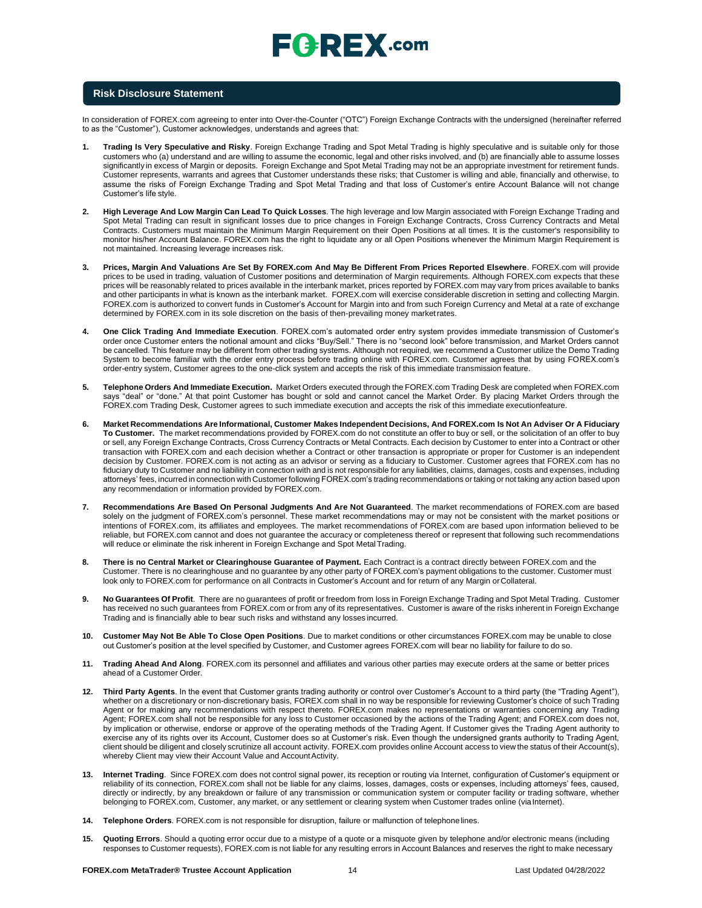

#### **Risk Disclosure Statement**

In consideration of FOREX.com agreeing to enter into Over-the-Counter ("OTC") Foreign Exchange Contracts with the undersigned (hereinafter referred to as the "Customer"), Customer acknowledges, understands and agrees that:

- **1. Trading Is Very Speculative and Risky**. Foreign Exchange Trading and Spot Metal Trading is highly speculative and is suitable only for those customers who (a) understand and are willing to assume the economic, legal and other risks involved, and (b) are financially able to assume losses significantly in excess of Margin or deposits. Foreign Exchange and Spot Metal Trading may not be an appropriate investment for retirement funds. Customer represents, warrants and agrees that Customer understands these risks; that Customer is willing and able, financially and otherwise, to assume the risks of Foreign Exchange Trading and Spot Metal Trading and that loss of Customer's entire Account Balance will not change Customer's life style.
- **2. High Leverage And Low Margin Can Lead To Quick Losses**. The high leverage and low Margin associated with Foreign Exchange Trading and Spot Metal Trading can result in significant losses due to price changes in Foreign Exchange Contracts, Cross Currency Contracts and Metal Contracts. Customers must maintain the Minimum Margin Requirement on their Open Positions at all times. It is the customer's responsibility to monitor his/her Account Balance. FOREX.com has the right to liquidate any or all Open Positions whenever the Minimum Margin Requirement is not maintained. Increasing leverage increases risk.
- **3. Prices, Margin And Valuations Are Set By FOREX.com And May Be Different From Prices Reported Elsewhere**. FOREX.com will provide prices to be used in trading, valuation of Customer positions and determination of Margin requirements. Although FOREX.com expects that these prices will be reasonably related to prices available in the interbank market, prices reported by FOREX.com may vary from prices available to banks and other participants in what is known as the interbank market. FOREX.com will exercise considerable discretion in setting and collecting Margin. FOREX.com is authorized to convert funds in Customer's Account for Margin into and from such Foreign Currency and Metal at a rate of exchange determined by FOREX.com in its sole discretion on the basis of then-prevailing money marketrates.
- **4. One Click Trading And Immediate Execution**. FOREX.com's automated order entry system provides immediate transmission of Customer's order once Customer enters the notional amount and clicks "Buy/Sell." There is no "second look" before transmission, and Market Orders cannot be cancelled. This feature may be different from other trading systems. Although not required, we recommend a Customer utilize the Demo Trading System to become familiar with the order entry process before trading online with FOREX.com. Customer agrees that by using FOREX.com's order-entry system, Customer agrees to the one-click system and accepts the risk of this immediate transmission feature.
- **5. Telephone Orders And Immediate Execution.** Market Orders executed through the FOREX.com Trading Desk are completed when FOREX.com says "deal" or "done." At that point Customer has bought or sold and cannot cancel the Market Order. By placing Market Orders through the FOREX.com Trading Desk, Customer agrees to such immediate execution and accepts the risk of this immediate executionfeature.
- 6. Market Recommendations Are Informational, Customer Makes Independent Decisions, And FOREX.com Is Not An Adviser Or A Fiduciary **To Customer.** The market recommendations provided by FOREX.com do not constitute an offer to buy or sell, or the solicitation of an offer to buy or sell, any Foreign Exchange Contracts, Cross Currency Contracts or Metal Contracts. Each decision by Customer to enter into a Contract or other transaction with FOREX.com and each decision whether a Contract or other transaction is appropriate or proper for Customer is an independent decision by Customer. FOREX.com is not acting as an advisor or serving as a fiduciary to Customer. Customer agrees that FOREX.com has no fiduciary duty to Customer and no liability in connection with and is not responsible for any liabilities, claims, damages, costs and expenses, including attorneys' fees, incurred in connection with Customer following FOREX.com's trading recommendations or taking or not taking any action based upon any recommendation or information provided by FOREX.com.
- **7. Recommendations Are Based On Personal Judgments And Are Not Guaranteed**. The market recommendations of FOREX.com are based solely on the judgment of FOREX.com's personnel. These market recommendations may or may not be consistent with the market positions or intentions of FOREX.com, its affiliates and employees. The market recommendations of FOREX.com are based upon information believed to be reliable, but FOREX.com cannot and does not guarantee the accuracy or completeness thereof or represent that following such recommendations will reduce or eliminate the risk inherent in Foreign Exchange and Spot Metal Trading.
- 8. There is no Central Market or Clearinghouse Guarantee of Payment. Each Contract is a contract directly between FOREX.com and the Customer. There is no clearinghouse and no guarantee by any other party of FOREX.com's payment obligations to the customer. Customer must look only to FOREX.com for performance on all Contracts in Customer's Account and for return of any Margin orCollateral.
- **9. No Guarantees Of Profit**. There are no guarantees of profit or freedom from loss in Foreign Exchange Trading and Spot Metal Trading. Customer has received no such guarantees from FOREX.com or from any of its representatives. Customer is aware of the risks inherent in Foreign Exchange Trading and is financially able to bear such risks and withstand any losses incurred.
- **10. Customer May Not Be Able To Close Open Positions**. Due to market conditions or other circumstances FOREX.com may be unable to close out Customer's position at the level specified by Customer, and Customer agrees FOREX.com will bear no liability for failure to do so.
- **11. Trading Ahead And Along**. FOREX.com its personnel and affiliates and various other parties may execute orders at the same or better prices ahead of a Customer Order.
- **12. Third Party Agents**. In the event that Customer grants trading authority or control over Customer's Account to a third party (the "Trading Agent"), whether on a discretionary or non-discretionary basis, FOREX.com shall in no way be responsible for reviewing Customer's choice of such Trading Agent or for making any recommendations with respect thereto. FOREX.com makes no representations or warranties concerning any Trading Agent; FOREX.com shall not be responsible for any loss to Customer occasioned by the actions of the Trading Agent; and FOREX.com does not, by implication or otherwise, endorse or approve of the operating methods of the Trading Agent. If Customer gives the Trading Agent authority to exercise any of its rights over its Account, Customer does so at Customer's risk. Even though the undersigned grants authority to Trading Agent, client should be diligent and closely scrutinize all account activity. FOREX.com provides online Account access to view the status of their Account(s), whereby Client may view their Account Value and Account Activity.
- **13. Internet Trading**. Since FOREX.com does not control signal power, its reception or routing via Internet, configuration of Customer's equipment or reliability of its connection, FOREX.com shall not be liable for any claims, losses, damages, costs or expenses, including attorneys' fees, caused, directly or indirectly, by any breakdown or failure of any transmission or communication system or computer facility or trading software, whether belonging to FOREX.com, Customer, any market, or any settlement or clearing system when Customer trades online (viaInternet).
- **14. Telephone Orders**. FOREX.com is not responsible for disruption, failure or malfunction of telephonelines.
- **15. Quoting Errors**. Should a quoting error occur due to a mistype of a quote or a misquote given by telephone and/or electronic means (including responses to Customer requests), FOREX.com is not liable for any resulting errors in Account Balances and reserves the right to make necessary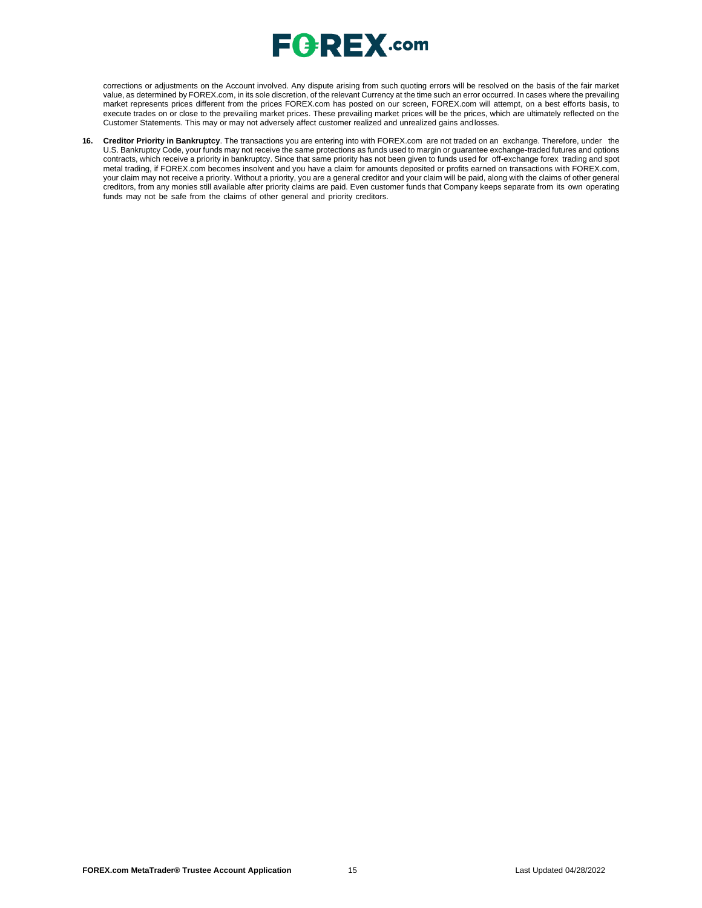

corrections or adjustments on the Account involved. Any dispute arising from such quoting errors will be resolved on the basis of the fair market value, as determined by FOREX.com, in its sole discretion, of the relevant Currency at the time such an error occurred. In cases where the prevailing market represents prices different from the prices FOREX.com has posted on our screen, FOREX.com will attempt, on a best efforts basis, to execute trades on or close to the prevailing market prices. These prevailing market prices will be the prices, which are ultimately reflected on the Customer Statements. This may or may not adversely affect customer realized and unrealized gains andlosses.

**16. Creditor Priority in Bankruptcy**. The transactions you are entering into with FOREX.com are not traded on an exchange. Therefore, under the U.S. Bankruptcy Code, your funds may not receive the same protections as funds used to margin or guarantee exchange-traded futures and options contracts, which receive a priority in bankruptcy. Since that same priority has not been given to funds used for off-exchange forex trading and spot metal trading, if FOREX.com becomes insolvent and you have a claim for amounts deposited or profits earned on transactions with FOREX.com, your claim may not receive a priority. Without a priority, you are a general creditor and your claim will be paid, along with the claims of other general creditors, from any monies still available after priority claims are paid. Even customer funds that Company keeps separate from its own operating funds may not be safe from the claims of other general and priority creditors.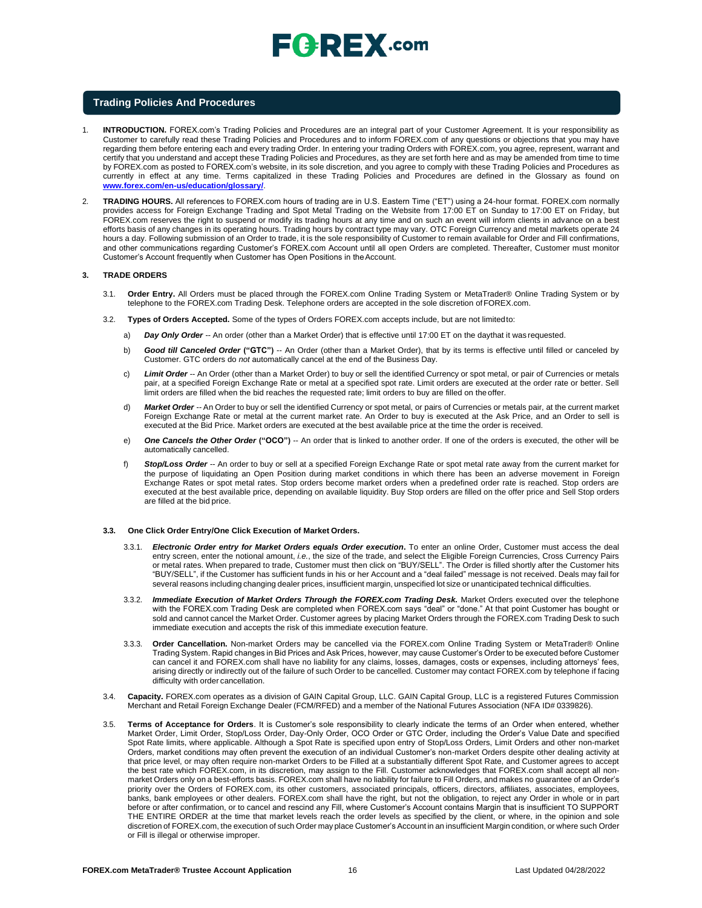#### **Trading Policies And Procedures**

- 1. **INTRODUCTION.** FOREX.com's Trading Policies and Procedures are an integral part of your Customer Agreement. It is your responsibility as Customer to carefully read these Trading Policies and Procedures and to inform FOREX.com of any questions or objections that you may have regarding them before entering each and every trading Order. In entering your trading Orders with FOREX.com, you agree, represent, warrant and certify that you understand and accept these Trading Policies and Procedures, as they are set forth here and as may be amended from time to time by FOREX.com as posted to FOREX.com's website, in its sole discretion, and you agree to comply with these Trading Policies and Procedures as currently in effect at any time. Terms capitalized in these Trading Policies and Procedures are defined in the Glossary as found o[n](http://www.forex.com/en-us/education/glossary/) **[www.forex.com/en-us/education/glossary/](http://www.forex.com/en-us/education/glossary/)**.
- 2. **TRADING HOURS.** All references to FOREX.com hours of trading are in U.S. Eastern Time ("ET") using a 24-hour format. FOREX.com normally provides access for Foreign Exchange Trading and Spot Metal Trading on the Website from 17:00 ET on Sunday to 17:00 ET on Friday, but FOREX.com reserves the right to suspend or modify its trading hours at any time and on such an event will inform clients in advance on a best efforts basis of any changes in its operating hours. Trading hours by contract type may vary. OTC Foreign Currency and metal markets operate 24 hours a day. Following submission of an Order to trade, it is the sole responsibility of Customer to remain available for Order and Fill confirmations, and other communications regarding Customer's FOREX.com Account until all open Orders are completed. Thereafter, Customer must monitor Customer's Account frequently when Customer has Open Positions in theAccount.

#### **3. TRADE ORDERS**

- 3.1. **Order Entry.** All Orders must be placed through the FOREX.com Online Trading System or MetaTrader® Online Trading System or by telephone to the FOREX.com Trading Desk. Telephone orders are accepted in the sole discretion ofFOREX.com.
- 3.2. **Types of Orders Accepted.** Some of the types of Orders FOREX.com accepts include, but are not limitedto:
	- a) *Day Only Order --* An order (other than a Market Order) that is effective until 17:00 ET on the daythat it was requested.
	- b) **Good till Canceled Order ("GTC")** -- An Order (other than a Market Order), that by its terms is effective until filled or canceled by Customer. GTC orders do *not* automatically cancel at the end of the Business Day.
	- c) *Limit Order --* An Order (other than a Market Order) to buy or sell the identified Currency or spot metal, or pair of Currencies or metals pair, at a specified Foreign Exchange Rate or metal at a specified spot rate. Limit orders are executed at the order rate or better. Sell limit orders are filled when the bid reaches the requested rate; limit orders to buy are filled on theoffer.
	- d) *Market Order --* An Order to buy or sell the identified Currency or spot metal, or pairs of Currencies or metals pair, at the current market Foreign Exchange Rate or metal at the current market rate. An Order to buy is executed at the Ask Price, and an Order to sell is executed at the Bid Price. Market orders are executed at the best available price at the time the order is received.
	- e) *One Cancels the Other Order* **("OCO")** -- An order that is linked to another order. If one of the orders is executed, the other will be automatically cancelled.
	- f) *Stop/Loss Order --* An order to buy or sell at a specified Foreign Exchange Rate or spot metal rate away from the current market for the purpose of liquidating an Open Position during market conditions in which there has been an adverse movement in Foreign Exchange Rates or spot metal rates. Stop orders become market orders when a predefined order rate is reached. Stop orders are executed at the best available price, depending on available liquidity. Buy Stop orders are filled on the offer price and Sell Stop orders are filled at the bid price.

#### **3.3. One Click Order Entry/One Click Execution of Market Orders.**

- 3.3.1. *Electronic Order entry for Market Orders equals Order execution***.** To enter an online Order, Customer must access the deal entry screen, enter the notional amount, *i.e.*, the size of the trade, and select the Eligible Foreign Currencies, Cross Currency Pairs or metal rates. When prepared to trade, Customer must then click on "BUY/SELL". The Order is filled shortly after the Customer hits "BUY/SELL", if the Customer has sufficient funds in his or her Account and a "deal failed" message is not received. Deals may fail for several reasons including changing dealer prices, insufficient margin, unspecified lot size or unanticipated technical difficulties
- 3.3.2. *Immediate Execution of Market Orders Through the FOREX.com Trading Desk.* Market Orders executed over the telephone with the FOREX.com Trading Desk are completed when FOREX.com says "deal" or "done." At that point Customer has bought or sold and cannot cancel the Market Order. Customer agrees by placing Market Orders through the FOREX.com Trading Desk to such immediate execution and accepts the risk of this immediate execution feature.
- 3.3.3. **Order Cancellation.** Non-market Orders may be cancelled via the FOREX.com Online Trading System or MetaTrader® Online Trading System. Rapid changes in Bid Prices and Ask Prices, however, may cause Customer's Order to be executed before Customer can cancel it and FOREX.com shall have no liability for any claims, losses, damages, costs or expenses, including attorneys' fees, arising directly or indirectly out of the failure of such Order to be cancelled. Customer may contact FOREX.com by telephone if facing difficulty with order cancellation.
- 3.4. **Capacity.** FOREX.com operates as a division of GAIN Capital Group, LLC. GAIN Capital Group, LLC is a registered Futures Commission Merchant and Retail Foreign Exchange Dealer (FCM/RFED) and a member of the National Futures Association (NFA ID# 0339826).
- 3.5. **Terms of Acceptance for Orders**. It is Customer's sole responsibility to clearly indicate the terms of an Order when entered, whether Market Order, Limit Order, Stop/Loss Order, Day-Only Order, OCO Order or GTC Order, including the Order's Value Date and specified Spot Rate limits, where applicable. Although a Spot Rate is specified upon entry of Stop/Loss Orders, Limit Orders and other non-market Orders, market conditions may often prevent the execution of an individual Customer's non-market Orders despite other dealing activity at that price level, or may often require non-market Orders to be Filled at a substantially different Spot Rate, and Customer agrees to accept the best rate which FOREX.com, in its discretion, may assign to the Fill. Customer acknowledges that FOREX.com shall accept all nonmarket Orders only on a best-efforts basis. FOREX.com shall have no liability for failure to Fill Orders, and makes no guarantee of an Order's priority over the Orders of FOREX.com, its other customers, associated principals, officers, directors, affiliates, associates, employees, banks, bank employees or other dealers. FOREX.com shall have the right, but not the obligation, to reject any Order in whole or in part before or after confirmation, or to cancel and rescind any Fill, where Customer's Account contains Margin that is insufficient TO SUPPORT THE ENTIRE ORDER at the time that market levels reach the order levels as specified by the client, or where, in the opinion and sole discretion of FOREX.com, the execution of such Order may place Customer's Account in an insufficient Margin condition, or where such Order or Fill is illegal or otherwise improper.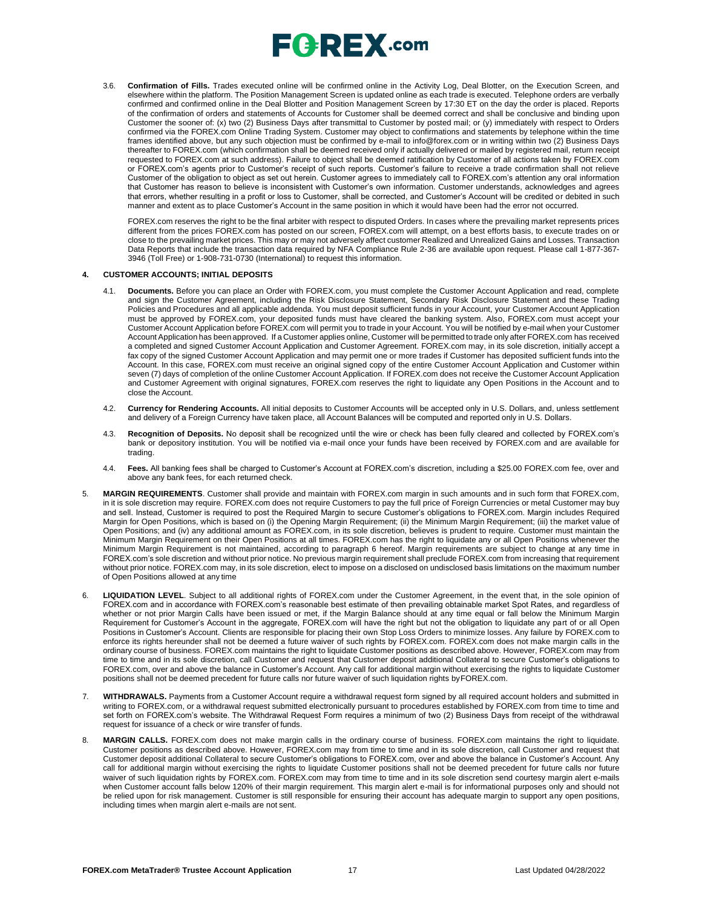

3.6. **Confirmation of Fills.** Trades executed online will be confirmed online in the Activity Log, Deal Blotter, on the Execution Screen, and elsewhere within the platform. The Position Management Screen is updated online as each trade is executed. Telephone orders are verbally confirmed and confirmed online in the Deal Blotter and Position Management Screen by 17:30 ET on the day the order is placed. Reports of the confirmation of orders and statements of Accounts for Customer shall be deemed correct and shall be conclusive and binding upon Customer the sooner of: (x) two (2) Business Days after transmittal to Customer by posted mail; or (y) immediately with respect to Orders confirmed via the FOREX.com Online Trading System. Customer may object to confirmations and statements by telephone within the time frames identified above, but any such objection must be confirmed by e-mail t[o info@forex.com o](mailto:info@forex.com)r in writing within two (2) Business Days thereafter to FOREX.com (which confirmation shall be deemed received only if actually delivered or mailed by registered mail, return receipt requested to FOREX.com at such address). Failure to object shall be deemed ratification by Customer of all actions taken by FOREX.com or FOREX.com's agents prior to Customer's receipt of such reports. Customer's failure to receive a trade confirmation shall not relieve Customer of the obligation to object as set out herein. Customer agrees to immediately call to FOREX.com's attention any oral information that Customer has reason to believe is inconsistent with Customer's own information. Customer understands, acknowledges and agrees that errors, whether resulting in a profit or loss to Customer, shall be corrected, and Customer's Account will be credited or debited in such manner and extent as to place Customer's Account in the same position in which it would have been had the error not occurred.

FOREX.com reserves the right to be the final arbiter with respect to disputed Orders. In cases where the prevailing market represents prices different from the prices FOREX.com has posted on our screen, FOREX.com will attempt, on a best efforts basis, to execute trades on or close to the prevailing market prices. This may or may not adversely affect customer Realized and Unrealized Gains and Losses. Transaction Data Reports that include the transaction data required by NFA Compliance Rule 2-36 are available upon request. Please call 1-877-367- 3946 (Toll Free) or 1-908-731-0730 (International) to request this information.

#### **4. CUSTOMER ACCOUNTS; INITIAL DEPOSITS**

- 4.1. **Documents.** Before you can place an Order with FOREX.com, you must complete the Customer Account Application and read, complete and sign the Customer Agreement, including the Risk Disclosure Statement, Secondary Risk Disclosure Statement and these Trading Policies and Procedures and all applicable addenda. You must deposit sufficient funds in your Account, your Customer Account Application must be approved by FOREX.com, your deposited funds must have cleared the banking system. Also, FOREX.com must accept your Customer Account Application before FOREX.com will permit you to trade in your Account. You will be notified by e-mail when your Customer Account Application has been approved. If a Customer applies online, Customer will be permitted to trade only after FOREX.com has received a completed and signed Customer Account Application and Customer Agreement. FOREX.com may, in its sole discretion, initially accept a fax copy of the signed Customer Account Application and may permit one or more trades if Customer has deposited sufficient funds into the Account. In this case, FOREX.com must receive an original signed copy of the entire Customer Account Application and Customer within seven (7) days of completion of the online Customer Account Application. If FOREX.com does not receive the Customer Account Application and Customer Agreement with original signatures, FOREX.com reserves the right to liquidate any Open Positions in the Account and to close the Account.
- 4.2. **Currency for Rendering Accounts.** All initial deposits to Customer Accounts will be accepted only in U.S. Dollars, and, unless settlement and delivery of a Foreign Currency have taken place, all Account Balances will be computed and reported only in U.S. Dollars.
- 4.3. **Recognition of Deposits.** No deposit shall be recognized until the wire or check has been fully cleared and collected by FOREX.com's bank or depository institution. You will be notified via e-mail once your funds have been received by FOREX.com and are available for trading.
- 4.4. **Fees.** All banking fees shall be charged to Customer's Account at FOREX.com's discretion, including a \$25.00 FOREX.com fee, over and above any bank fees, for each returned check.
- 5. **MARGIN REQUIREMENTS**. Customer shall provide and maintain with FOREX.com margin in such amounts and in such form that FOREX.com, in it is sole discretion may require. FOREX.com does not require Customers to pay the full price of Foreign Currencies or metal Customer may buy and sell. Instead, Customer is required to post the Required Margin to secure Customer's obligations to FOREX.com. Margin includes Required Margin for Open Positions, which is based on (i) the Opening Margin Requirement; (ii) the Minimum Margin Requirement; (iii) the market value of Open Positions; and (iv) any additional amount as FOREX.com, in its sole discretion, believes is prudent to require. Customer must maintain the Minimum Margin Requirement on their Open Positions at all times. FOREX.com has the right to liquidate any or all Open Positions whenever the Minimum Margin Requirement is not maintained, according to paragraph 6 hereof. Margin requirements are subject to change at any time in FOREX.com's sole discretion and without prior notice. No previous margin requirement shall preclude FOREX.com from increasing that requirement without prior notice. FOREX.com may, in its sole discretion, elect to impose on a disclosed on undisclosed basis limitations on the maximum number of Open Positions allowed at any time
- 6. **LIQUIDATION LEVEL**. Subject to all additional rights of FOREX.com under the Customer Agreement, in the event that, in the sole opinion of FOREX.com and in accordance with FOREX.com's reasonable best estimate of then prevailing obtainable market Spot Rates, and regardless of whether or not prior Margin Calls have been issued or met, if the Margin Balance should at any time equal or fall below the Minimum Margin Requirement for Customer's Account in the aggregate, FOREX.com will have the right but not the obligation to liquidate any part of or all Open Positions in Customer's Account. Clients are responsible for placing their own Stop Loss Orders to minimize losses. Any failure by FOREX.com to enforce its rights hereunder shall not be deemed a future waiver of such rights by FOREX.com. FOREX.com does not make margin calls in the ordinary course of business. FOREX.com maintains the right to liquidate Customer positions as described above. However, FOREX.com may from time to time and in its sole discretion, call Customer and request that Customer deposit additional Collateral to secure Customer's obligations to FOREX.com, over and above the balance in Customer's Account. Any call for additional margin without exercising the rights to liquidate Customer positions shall not be deemed precedent for future calls nor future waiver of such liquidation rights byFOREX.com.
- 7. **WITHDRAWALS.** Payments from a Customer Account require a withdrawal request form signed by all required account holders and submitted in writing to FOREX.com, or a withdrawal request submitted electronically pursuant to procedures established by FOREX.com from time to time and set forth on FOREX.com's website. The Withdrawal Request Form requires a minimum of two (2) Business Days from receipt of the withdrawal request for issuance of a check or wire transfer of funds.
- 8. **MARGIN CALLS.** FOREX.com does not make margin calls in the ordinary course of business. FOREX.com maintains the right to liquidate. Customer positions as described above. However, FOREX.com may from time to time and in its sole discretion, call Customer and request that Customer deposit additional Collateral to secure Customer's obligations to FOREX.com, over and above the balance in Customer's Account. Any call for additional margin without exercising the rights to liquidate Customer positions shall not be deemed precedent for future calls nor future waiver of such liquidation rights by FOREX.com. FOREX.com may from time to time and in its sole discretion send courtesy margin alert e-mails when Customer account falls below 120% of their margin requirement. This margin alert e-mail is for informational purposes only and should not be relied upon for risk management. Customer is still responsible for ensuring their account has adequate margin to support any open positions, including times when margin alert e-mails are not sent.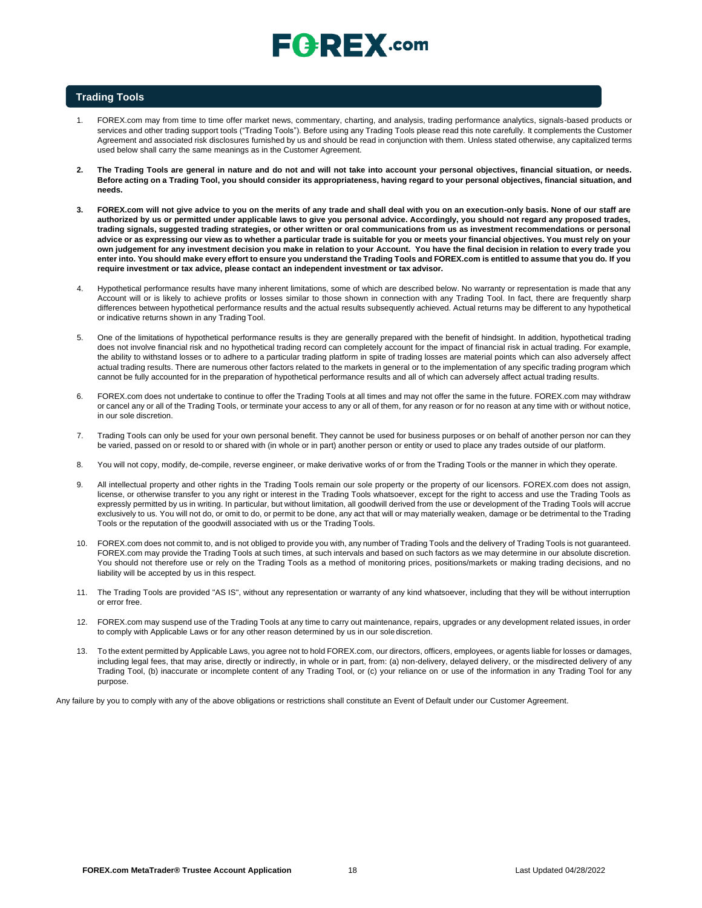# $E$ **Q**  $R$ **E** $X$ .com

#### **Trading Tools**

- 1. FOREX.com may from time to time offer market news, commentary, charting, and analysis, trading performance analytics, signals-based products or services and other trading support tools ("Trading Tools"). Before using any Trading Tools please read this note carefully. It complements the Customer Agreement and associated risk disclosures furnished by us and should be read in conjunction with them. Unless stated otherwise, any capitalized terms used below shall carry the same meanings as in the Customer Agreement.
- **2. The Trading Tools are general in nature and do not and will not take into account your personal objectives, financial situation, or needs.**  Before acting on a Trading Tool, you should consider its appropriateness, having regard to your personal objectives, financial situation, and **needs.**
- **3. FOREX.com will not give advice to you on the merits of any trade and shall deal with you on an execution-only basis. None of our staff are authorized by us or permitted under applicable laws to give you personal advice. Accordingly, you should not regard any proposed trades, trading signals, suggested trading strategies, or other written or oral communications from us as investment recommendations or personal advice or as expressing our view as to whether a particular trade is suitable for you or meets your financial objectives. You must rely on your** own judgement for any investment decision you make in relation to your Account. You have the final decision in relation to every trade you enter into. You should make every effort to ensure you understand the Trading Tools and FOREX.com is entitled to assume that you do. If you **require investment or tax advice, please contact an independent investment or tax advisor.**
- 4. Hypothetical performance results have many inherent limitations, some of which are described below. No warranty or representation is made that any Account will or is likely to achieve profits or losses similar to those shown in connection with any Trading Tool. In fact, there are frequently sharp differences between hypothetical performance results and the actual results subsequently achieved. Actual returns may be different to any hypothetical or indicative returns shown in any Trading Tool.
- 5. One of the limitations of hypothetical performance results is they are generally prepared with the benefit of hindsight. In addition, hypothetical trading does not involve financial risk and no hypothetical trading record can completely account for the impact of financial risk in actual trading. For example, the ability to withstand losses or to adhere to a particular trading platform in spite of trading losses are material points which can also adversely affect actual trading results. There are numerous other factors related to the markets in general or to the implementation of any specific trading program which cannot be fully accounted for in the preparation of hypothetical performance results and all of which can adversely affect actual trading results.
- 6. FOREX.com does not undertake to continue to offer the Trading Tools at all times and may not offer the same in the future. FOREX.com may withdraw or cancel any or all of the Trading Tools, or terminate your access to any or all of them, for any reason or for no reason at any time with or without notice, in our sole discretion.
- 7. Trading Tools can only be used for your own personal benefit. They cannot be used for business purposes or on behalf of another person nor can they be varied, passed on or resold to or shared with (in whole or in part) another person or entity or used to place any trades outside of our platform.
- 8. You will not copy, modify, de-compile, reverse engineer, or make derivative works of or from the Trading Tools or the manner in which they operate.
- 9. All intellectual property and other rights in the Trading Tools remain our sole property or the property of our licensors. FOREX.com does not assign, license, or otherwise transfer to you any right or interest in the Trading Tools whatsoever, except for the right to access and use the Trading Tools as expressly permitted by us in writing. In particular, but without limitation, all goodwill derived from the use or development of the Trading Tools will accrue exclusively to us. You will not do, or omit to do, or permit to be done, any act that will or may materially weaken, damage or be detrimental to the Trading Tools or the reputation of the goodwill associated with us or the Trading Tools.
- 10. FOREX.com does not commit to, and is not obliged to provide you with, any number of Trading Tools and the delivery of Trading Tools is not guaranteed. FOREX.com may provide the Trading Tools at such times, at such intervals and based on such factors as we may determine in our absolute discretion. You should not therefore use or rely on the Trading Tools as a method of monitoring prices, positions/markets or making trading decisions, and no liability will be accepted by us in this respect.
- 11. The Trading Tools are provided "AS IS", without any representation or warranty of any kind whatsoever, including that they will be without interruption or error free.
- 12. FOREX.com may suspend use of the Trading Tools at any time to carry out maintenance, repairs, upgrades or any development related issues, in order to comply with Applicable Laws or for any other reason determined by us in our sole discretion.
- 13. To the extent permitted by Applicable Laws, you agree not to hold FOREX.com, our directors, officers, employees, or agents liable for losses or damages, including legal fees, that may arise, directly or indirectly, in whole or in part, from: (a) non-delivery, delayed delivery, or the misdirected delivery of any Trading Tool, (b) inaccurate or incomplete content of any Trading Tool, or (c) your reliance on or use of the information in any Trading Tool for any purpose.

Any failure by you to comply with any of the above obligations or restrictions shall constitute an Event of Default under our Customer Agreement.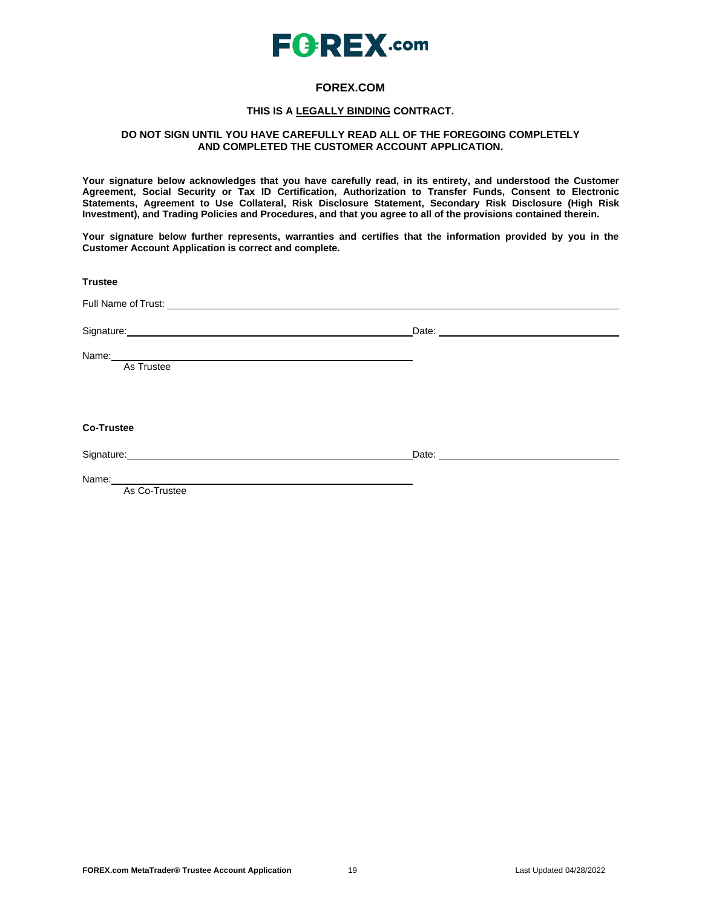

## **FOREX.COM**

### **THIS IS A LEGALLY BINDING CONTRACT.**

### **DO NOT SIGN UNTIL YOU HAVE CAREFULLY READ ALL OF THE FOREGOING COMPLETELY AND COMPLETED THE CUSTOMER ACCOUNT APPLICATION.**

**Your signature below acknowledges that you have carefully read, in its entirety, and understood the Customer Agreement, Social Security or Tax ID Certification, Authorization to Transfer Funds, Consent to Electronic Statements, Agreement to Use Collateral, Risk Disclosure Statement, Secondary Risk Disclosure (High Risk Investment), and Trading Policies and Procedures, and that you agree to all of the provisions contained therein.**

**Your signature below further represents, warranties and certifies that the information provided by you in the Customer Account Application is correct and complete.**

**Trustee** Full Name of Trust: Signature: Date: Date: Date: Date: Date: Date: Date: Date: Date: Date: Date: Date: Date: Date: Date: Date: Date: Date: Date: Date: Date: Date: Date: Date: Date: Date: Date: Date: Date: Date: Date: Date: Date: Date: Date: D Name: As Trustee **Co-Trustee** Signature: Date: Date: Date: Date: Date: Date: Date: Date: Date: Date: Date: Date: Date: Date: Date: Date: Date: Date: Date: Date: Date: Date: Date: Date: Date: Date: Date: Date: Date: Date: Date: Date: Date: Date: Date: D Name: As Co-Trustee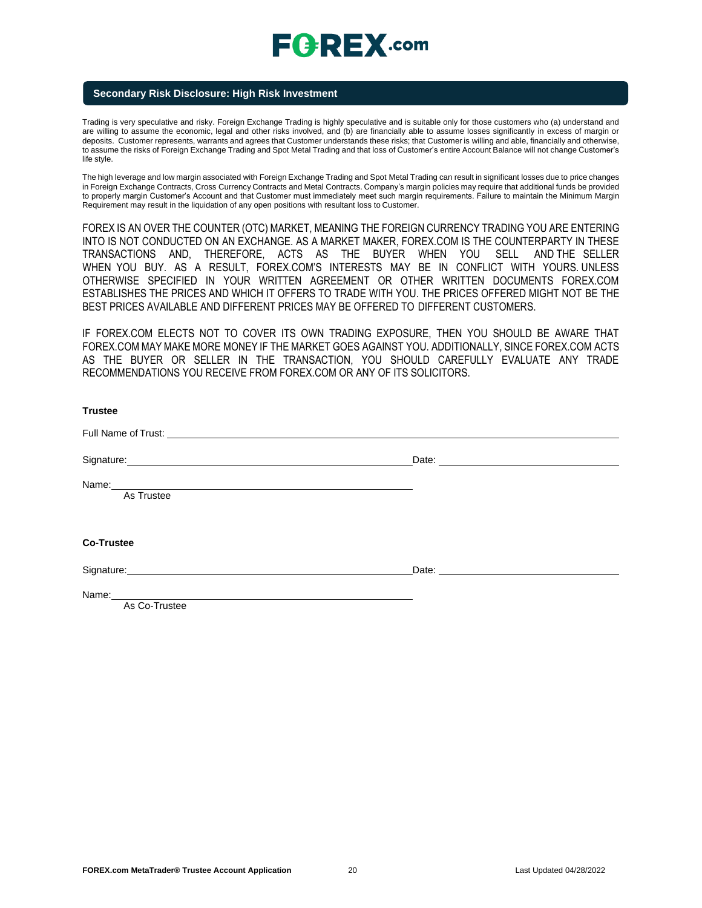### **Secondary Risk Disclosure: High Risk Investment**

Trading is very speculative and risky. Foreign Exchange Trading is highly speculative and is suitable only for those customers who (a) understand and are willing to assume the economic, legal and other risks involved, and (b) are financially able to assume losses significantly in excess of margin or deposits. Customer represents, warrants and agrees that Customer understands these risks; that Customer is willing and able, financially and otherwise, to assume the risks of Foreign Exchange Trading and Spot Metal Trading and that loss of Customer's entire Account Balance will not change Customer's life style.

The high leverage and low margin associated with Foreign Exchange Trading and Spot Metal Trading can result in significant losses due to price changes in Foreign Exchange Contracts, Cross Currency Contracts and Metal Contracts. Company's margin policies may require that additional funds be provided to properly margin Customer's Account and that Customer must immediately meet such margin requirements. Failure to maintain the Minimum Margin Requirement may result in the liquidation of any open positions with resultant loss to Customer.

FOREX IS AN OVER THE COUNTER (OTC) MARKET, MEANING THE FOREIGN CURRENCY TRADING YOU ARE ENTERING INTO IS NOT CONDUCTED ON AN EXCHANGE. AS A MARKET MAKER, FOREX.COM IS THE COUNTERPARTY IN THESE TRANSACTIONS AND, THEREFORE, ACTS AS THE BUYER WHEN YOU SELL AND THE SELLER WHEN YOU BUY. AS A RESULT, FOREX.COM'S INTERESTS MAY BE IN CONFLICT WITH YOURS. UNLESS OTHERWISE SPECIFIED IN YOUR WRITTEN AGREEMENT OR OTHER WRITTEN DOCUMENTS FOREX.COM ESTABLISHES THE PRICES AND WHICH IT OFFERS TO TRADE WITH YOU. THE PRICES OFFERED MIGHT NOT BE THE BEST PRICES AVAILABLE AND DIFFERENT PRICES MAY BE OFFERED TO DIFFERENT CUSTOMERS.

IF FOREX.COM ELECTS NOT TO COVER ITS OWN TRADING EXPOSURE, THEN YOU SHOULD BE AWARE THAT FOREX.COM MAY MAKE MORE MONEY IF THE MARKET GOES AGAINST YOU. ADDITIONALLY, SINCE FOREX.COM ACTS AS THE BUYER OR SELLER IN THE TRANSACTION, YOU SHOULD CAREFULLY EVALUATE ANY TRADE RECOMMENDATIONS YOU RECEIVE FROM FOREX.COM OR ANY OF ITS SOLICITORS.

| <b>Trustee</b>                                                                                                                                                                                                                 |  |
|--------------------------------------------------------------------------------------------------------------------------------------------------------------------------------------------------------------------------------|--|
| Full Name of Trust: The Contract of Contract of Trust.                                                                                                                                                                         |  |
| Signature: experience and the state of the state of the state of the state of the state of the state of the state of the state of the state of the state of the state of the state of the state of the state of the state of t |  |
| Name: As Trustee                                                                                                                                                                                                               |  |
|                                                                                                                                                                                                                                |  |
| <b>Co-Trustee</b>                                                                                                                                                                                                              |  |
| Signature: experience and the state of the state of the state of the state of the state of the state of the state of the state of the state of the state of the state of the state of the state of the state of the state of t |  |
| As Co-Trustee                                                                                                                                                                                                                  |  |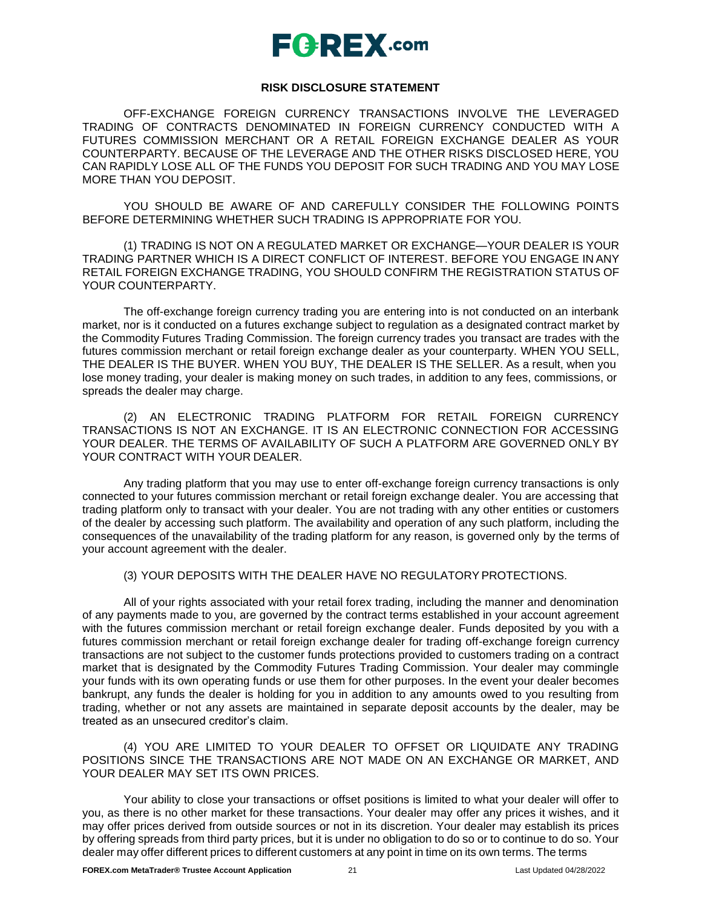### **RISK DISCLOSURE STATEMENT**

OFF-EXCHANGE FOREIGN CURRENCY TRANSACTIONS INVOLVE THE LEVERAGED TRADING OF CONTRACTS DENOMINATED IN FOREIGN CURRENCY CONDUCTED WITH A FUTURES COMMISSION MERCHANT OR A RETAIL FOREIGN EXCHANGE DEALER AS YOUR COUNTERPARTY. BECAUSE OF THE LEVERAGE AND THE OTHER RISKS DISCLOSED HERE, YOU CAN RAPIDLY LOSE ALL OF THE FUNDS YOU DEPOSIT FOR SUCH TRADING AND YOU MAY LOSE MORE THAN YOU DEPOSIT.

YOU SHOULD BE AWARE OF AND CAREFULLY CONSIDER THE FOLLOWING POINTS BEFORE DETERMINING WHETHER SUCH TRADING IS APPROPRIATE FOR YOU.

(1) TRADING IS NOT ON A REGULATED MARKET OR EXCHANGE—YOUR DEALER IS YOUR TRADING PARTNER WHICH IS A DIRECT CONFLICT OF INTEREST. BEFORE YOU ENGAGE IN ANY RETAIL FOREIGN EXCHANGE TRADING, YOU SHOULD CONFIRM THE REGISTRATION STATUS OF YOUR COUNTERPARTY.

The off-exchange foreign currency trading you are entering into is not conducted on an interbank market, nor is it conducted on a futures exchange subject to regulation as a designated contract market by the Commodity Futures Trading Commission. The foreign currency trades you transact are trades with the futures commission merchant or retail foreign exchange dealer as your counterparty. WHEN YOU SELL, THE DEALER IS THE BUYER. WHEN YOU BUY, THE DEALER IS THE SELLER. As a result, when you lose money trading, your dealer is making money on such trades, in addition to any fees, commissions, or spreads the dealer may charge.

(2) AN ELECTRONIC TRADING PLATFORM FOR RETAIL FOREIGN CURRENCY TRANSACTIONS IS NOT AN EXCHANGE. IT IS AN ELECTRONIC CONNECTION FOR ACCESSING YOUR DEALER. THE TERMS OF AVAILABILITY OF SUCH A PLATFORM ARE GOVERNED ONLY BY YOUR CONTRACT WITH YOUR DEALER.

Any trading platform that you may use to enter off-exchange foreign currency transactions is only connected to your futures commission merchant or retail foreign exchange dealer. You are accessing that trading platform only to transact with your dealer. You are not trading with any other entities or customers of the dealer by accessing such platform. The availability and operation of any such platform, including the consequences of the unavailability of the trading platform for any reason, is governed only by the terms of your account agreement with the dealer.

(3) YOUR DEPOSITS WITH THE DEALER HAVE NO REGULATORYPROTECTIONS.

All of your rights associated with your retail forex trading, including the manner and denomination of any payments made to you, are governed by the contract terms established in your account agreement with the futures commission merchant or retail foreign exchange dealer. Funds deposited by you with a futures commission merchant or retail foreign exchange dealer for trading off-exchange foreign currency transactions are not subject to the customer funds protections provided to customers trading on a contract market that is designated by the Commodity Futures Trading Commission. Your dealer may commingle your funds with its own operating funds or use them for other purposes. In the event your dealer becomes bankrupt, any funds the dealer is holding for you in addition to any amounts owed to you resulting from trading, whether or not any assets are maintained in separate deposit accounts by the dealer, may be treated as an unsecured creditor's claim.

(4) YOU ARE LIMITED TO YOUR DEALER TO OFFSET OR LIQUIDATE ANY TRADING POSITIONS SINCE THE TRANSACTIONS ARE NOT MADE ON AN EXCHANGE OR MARKET, AND YOUR DEALER MAY SET ITS OWN PRICES.

Your ability to close your transactions or offset positions is limited to what your dealer will offer to you, as there is no other market for these transactions. Your dealer may offer any prices it wishes, and it may offer prices derived from outside sources or not in its discretion. Your dealer may establish its prices by offering spreads from third party prices, but it is under no obligation to do so or to continue to do so. Your dealer may offer different prices to different customers at any point in time on its own terms. The terms